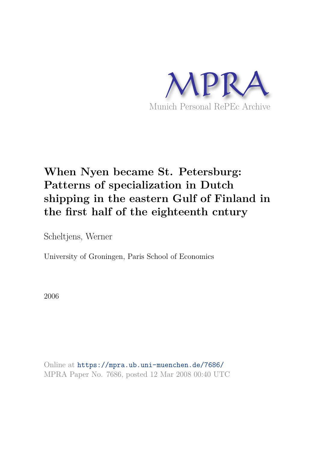

# **When Nyen became St. Petersburg: Patterns of specialization in Dutch shipping in the eastern Gulf of Finland in the first half of the eighteenth cntury**

Scheltjens, Werner

University of Groningen, Paris School of Economics

2006

Online at https://mpra.ub.uni-muenchen.de/7686/ MPRA Paper No. 7686, posted 12 Mar 2008 00:40 UTC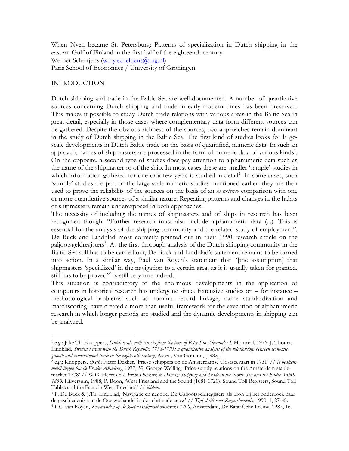When Nyen became St. Petersburg: Patterns of specialization in Dutch shipping in the eastern Gulf of Finland in the first half of the eighteenth century Werner Scheltjens (w.f.y.scheltjens@rug.nl) Paris School of Economics / University of Groningen

#### INTRODUCTION

 $\overline{a}$ 

Dutch shipping and trade in the Baltic Sea are well-documented. A number of quantitative sources concerning Dutch shipping and trade in early-modern times has been preserved. This makes it possible to study Dutch trade relations with various areas in the Baltic Sea in great detail, especially in those cases where complementary data from different sources can be gathered. Despite the obvious richness of the sources, two approaches remain dominant in the study of Dutch shipping in the Baltic Sea. The first kind of studies looks for largescale developments in Dutch Baltic trade on the basis of quantified, numeric data. In such an approach, names of shipmasters are processed in the form of numeric data of various kinds<sup>1</sup>. On the opposite, a second type of studies does pay attention to alphanumeric data such as the name of the shipmaster or of the ship. In most cases these are smaller 'sample'-studies in which information gathered for one or a few years is studied in detail<sup>2</sup>. In some cases, such 'sample'-studies are part of the large-scale numeric studies mentioned earlier; they are then used to prove the reliability of the sources on the basis of an *in extenso* comparison with one or more quantitative sources of a similar nature. Repeating patterns and changes in the habits of shipmasters remain underexposed in both approaches.

The necessity of including the names of shipmasters and of ships in research has been recognized though: "Further research must also include alphanumeric data (...). This is essential for the analysis of the shipping community and the related study of employment", De Buck and Lindblad most correctly pointed out in their 1990 research article on the galjootsgeldregisters<sup>3</sup>. As the first thorough analysis of the Dutch shipping community in the Baltic Sea still has to be carried out, De Buck and Lindblad's statement remains to be turned into action. In a similar way, Paul van Royen's statement that "[the assumption] that shipmasters 'specialized' in the navigation to a certain area, as it is usually taken for granted, still has to be proved"<sup>4</sup> is still very true indeed.

This situation is contradictory to the enormous developments in the application of computers in historical research has undergone since. Extensive studies on – for instance – methodological problems such as nominal record linkage, name standardization and matchscoring, have created a more than useful framework for the execution of alphanumeric research in which longer periods are studied and the dynamic developments in shipping can be analyzed.

<sup>1</sup> e.g.: Jake Th. Knoppers, *Dutch trade with Russia from the time of Peter I to Alexander I*, Montréal, 1976; J. Thomas Lindblad, *Sweden's trade with the Dutch Republic, 1738-1795: a quantitative analysis of the relationship between economic growth and international trade in the eighteenth century*, Assen, Van Gorcum, [1982].

<sup>2</sup> e.g.: Knoppers, *op.cit.*; Pieter Dekker, 'Friese schippers op de Amsterdamse Oostzeevaart in 1731' // *It beaken: meidielingen fan de Fryske Akademy*, 1977, 39; George Welling, 'Price-supply relations on the Amsterdam staplemarket 1778' // W.G. Heeres e.a. *From Dunkirk to Danzig: Shipping and Trade in the North Sea and the Baltic, 1350- 1850*. Hilversum, 1988; P. Boon, 'West Friesland and the Sound (1681-1720). Sound Toll Registers, Sound Toll Tables and the Facts in West Friesland' // *ibidem*.

<sup>3</sup> P. De Buck & J.Th. Lindblad, 'Navigatie en negotie. De Galjootsgeldregisters als bron bij het onderzoek naar de geschiedenis van de Oostzeehandel in de achttiende eeuw' // *Tijdschrift voor Zeegeschiedenis*, 1990, 1, 27-48.

<sup>4</sup> P.C. van Royen, *Zeevarenden op de koopvaardijvloot omstreeks 1700*, Amsterdam, De Bataafsche Leeuw, 1987, 16.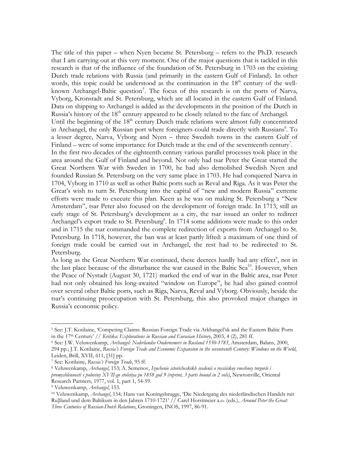The title of this paper – when Nyen became St. Petersburg – refers to the Ph.D. research that I am carrying out at this very moment. One of the major questions that is tackled in this research is that of the influence of the foundation of St. Petersburg in 1703 on the existing Dutch trade relations with Russia (and primarily in the eastern Gulf of Finland). In other words, this topic could be understood as the continuation in the  $18<sup>th</sup>$  century of the wellknown Archangel-Baltic question<sup>5</sup>. The focus of this research is on the ports of Narva, Vyborg, Kronstadt and St. Petersburg, which are all located in the eastern Gulf of Finland. Data on shipping to Archangel is added as the developments in the position of the Dutch in Russia's history of the 18<sup>th</sup> century appeared to be closely related to the fate of Archangel. Until the beginning of the  $18<sup>th</sup>$  century Dutch trade relations were almost fully concentrated in Archangel, the only Russian port where foreigners could trade directly with Russians<sup>6</sup>. To a lesser degree, Narva, Vyborg and Nyen – three Swedish towns in the eastern Gulf of Finland – were of some importance for Dutch trade at the end of the seventeenth century<sup>7</sup>. In the first two decades of the eighteenth century various parallel processes took place in the area around the Gulf of Finland and beyond. Not only had tsar Peter the Great started the Great Northern War with Sweden in 1700, he had also demolished Swedish Nyen and founded Russian St. Petersburg on the very same place in 1703. He had conquered Narva in 1704, Vyborg in 1710 as well as other Baltic ports such as Reval and Riga. As it was Peter the Great's wish to turn St. Petersburg into the capital of "new and modern Russia" extreme efforts were made to execute this plan. Keen as he was on making St. Petersburg a "New Amsterdam", tsar Peter also focused on the development of foreign trade. In 1713, still an early stage of St. Petersburg's development as a city, the tsar issued an order to redirect Archangel's export trade to St. Petersburg<sup>8</sup>. In 1714 some additions were made to this order and in 1715 the tsar commanded the complete redirection of exports from Archangel to St. Petersburg. In 1718, however, the ban was at least partly lifted: a maximum of one third of foreign trade could be carried out in Archangel, the rest had to be redirected to St. Petersburg.

As long as the Great Northern War continued, these decrees hardly had any effect<sup>9</sup>, not in the last place because of the disturbance the war caused in the Baltic Sea<sup>10</sup>. However, when the Peace of Nystadt (August 30, 1721) marked the end of war in the Baltic area, tsar Peter had not only obtained his long-awaited "window on Europe", he had also gained control over several other Baltic ports, such as Riga, Narva, Reval and Vyborg. Obviously, beside the tsar's continuing preoccupation with St. Petersburg, this also provoked major changes in Russia's economic policy.

<sup>5</sup> See: J.T. Kotilaine, 'Competing Claims: Russian Foreign Trade via Arkhangel'sk and the Eastern Baltic Ports in the 17th Century' // *Kritika: Explorations in Russian and Eurasian History*, 2003, 4 (2), 281 ff.

<sup>6</sup> See: J.W. Veluwenkamp, *Archangel: Nederlandse Ondernemers in Rusland 1550-1785*, Amsterdam, Balans, 2000, 294 pp.; J.T. Kotilaine, *Russia's Foreign Trade and Economic Expansion in the seventeenth Century: Windows on the World*, Leiden, Brill, XVII, 611, [31] pp.

<sup>7</sup> See: Kotilaine, *Russia's Foreign Trade*, 95 ff.

<sup>8</sup> Veluwenkamp, *Archangel*, 153; A. Semenov, *Izuchenie istoricheskikh svedenii o rossiiskoy vneshney torgovle i promyshlennosti s poloviny XVII-go stoletiya po 1858 god 9 (reprint, 3 parts bound in 2 vols)*, Newtonville, Oriental Research Partners, 1977, vol. 1, part 1, 54-59.

<sup>9</sup> Veluwenkamp, *Archangel*, 153.

<sup>10</sup> Veluwenkamp, *Archangel*, 154; Hans van Koningsbrugge, 'Die Niedergang des niederländischen Handels mit Ruβland und dem Baltikum in den Jahren 1710-1721' // Carel Horstmeier a.o. (eds.), *Around Peter the Great: Three Centuries of Russian-Dutch Relations*, Groningen, INOS, 1997, 86-91.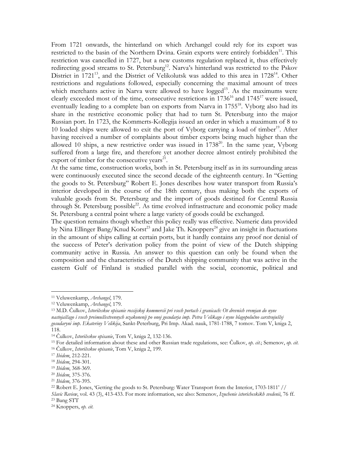From 1721 onwards, the hinterland on which Archangel could rely for its export was restricted to the basin of the Northern Dvina. Grain exports were entirely forbidden<sup>11</sup>. This restriction was cancelled in 1727, but a new customs regulation replaced it, thus effectively redirecting good streams to St. Petersburg<sup>12</sup>. Narva's hinterland was restricted to the Pskov District in  $1721^{13}$ , and the District of Velikolutsk was added to this area in  $1728^{14}$ . Other restrictions and regulations followed, especially concerning the maximal amount of trees which merchants active in Narva were allowed to have logged<sup>15</sup>. As the maximums were clearly exceeded most of the time, consecutive restrictions in  $1736^{16}$  and  $1745^{17}$  were issued, eventually leading to a complete ban on exports from Narva in  $1755^{18}$ . Vyborg also had its share in the restrictive economic policy that had to turn St. Petersburg into the major Russian port. In 1723, the Kommerts-Kollegija issued an order in which a maximum of 8 to 10 loaded ships were allowed to exit the port of Vyborg carrying a load of timber<sup>19</sup>. After having received a number of complaints about timber exports being much higher than the allowed 10 ships, a new restrictive order was issued in  $1738^{20}$ . In the same year, Vyborg suffered from a large fire, and therefore yet another decree almost entirely prohibited the export of timber for the consecutive years $^{21}$ .

At the same time, construction works, both in St. Petersburg itself as in its surrounding areas were continuously executed since the second decade of the eighteenth century. In "Getting the goods to St. Petersburg" Robert E. Jones describes how water transport from Russia's interior developed in the course of the 18th century, thus making both the exports of valuable goods from St. Petersburg and the import of goods destined for Central Russia through St. Petersburg possible<sup>22</sup>. As time evolved infrastructure and economic policy made St. Petersburg a central point where a large variety of goods could be exchanged.

The question remains though whether this policy really was effective. Numeric data provided by Nina Ellinger Bang/Knud Korst<sup>23</sup> and Jake Th. Knoppers<sup>24</sup> give an insight in fluctuations in the amount of ships calling at certain ports, but it hardly contains any proof nor denial of the success of Peter's derivation policy from the point of view of the Dutch shipping community active in Russia. An answer to this question can only be found when the composition and the characteristics of the Dutch shipping community that was active in the eastern Gulf of Finland is studied parallel with the social, economic, political and

 $\overline{a}$ 

*Slavic Review*, vol. 43 (3), 413-433. For more information, see also: Semenov, *Izuchenie istoricheskikh svedenii*, 76 ff. <sup>23</sup> Bang STT

<sup>11</sup> Veluwenkamp, *Archangel*, 179.

<sup>12</sup> Veluwenkamp, *Archangel*, 179.

<sup>13</sup> M.D. Čulkov, *Istoričeskoe opisanie rossijskoj kommercii pri vsech portach i granicach: Ot drevnich vremjan do nyne nastojaščago i vsech preimuščestvennych uzakonenij po onoj gosudarja imp. Petra Velikago i nyne blagopolučno carstvujuščej gosudaryni imp. Ekateriny Velikija*, Sankt-Peterburg, Pri Imp. Akad. nauk, 1781-1788, 7 tomov. Tom V, kniga 2, 118.

<sup>14</sup> Čulkov, *Istoričeskoe opisanie*, Tom V, kniga 2, 132-136.

<sup>15</sup> For detailed information about these and other Russian trade regulations, see: Čulkov, *op. cit.*; Semenov, *op. cit.* <sup>16</sup> Čulkov, *Istoričeskoe opisanie*, Tom V, kniga 2, 199.

<sup>17</sup> *Ibidem*, 212-221.

<sup>18</sup> *Ibidem*, 294-301.

<sup>19</sup> *Ibidem*, 368-369.

<sup>20</sup> *Ibidem*, 375-376.

<sup>21</sup> *Ibidem*, 376-395.

<sup>22</sup> Robert E. Jones, 'Getting the goods to St. Petersburg: Water Transport from the Interior, 1703-1811' //

<sup>24</sup> Knoppers, *op. cit.*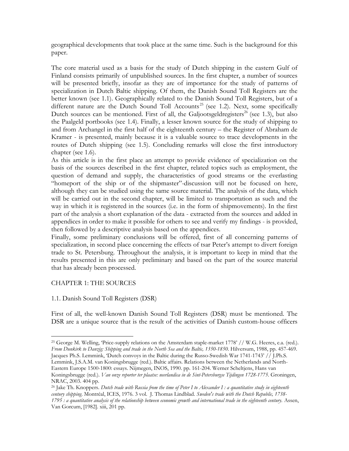geographical developments that took place at the same time. Such is the background for this paper.

The core material used as a basis for the study of Dutch shipping in the eastern Gulf of Finland consists primarily of unpublished sources. In the first chapter, a number of sources will be presented briefly, insofar as they are of importance for the study of patterns of specialization in Dutch Baltic shipping. Of them, the Danish Sound Toll Registers are the better known (see 1.1). Geographically related to the Danish Sound Toll Registers, but of a different nature are the Dutch Sound Toll Accounts<sup>25</sup> (see 1.2). Next, some specifically Dutch sources can be mentioned. First of all, the Galjootsgeldregisters<sup>26</sup> (see 1.3), but also the Paalgeld portbooks (see 1.4). Finally, a lesser known source for the study of shipping to and from Archangel in the first half of the eighteenth century – the Register of Abraham de Kramer - is presented, mainly because it is a valuable source to trace developments in the routes of Dutch shipping (see 1.5). Concluding remarks will close the first introductory chapter (see 1.6).

As this article is in the first place an attempt to provide evidence of specialization on the basis of the sources described in the first chapter, related topics such as employment, the question of demand and supply, the characteristics of good streams or the everlasting "homeport of the ship or of the shipmaster"-discussion will not be focused on here, although they can be studied using the same source material. The analysis of the data, which will be carried out in the second chapter, will be limited to transportation as such and the way in which it is registered in the sources (i.e. in the form of shipmovements). In the first part of the analysis a short explanation of the data - extracted from the sources and added in appendices in order to make it possible for others to see and verify my findings - is provided, then followed by a descriptive analysis based on the appendices.

Finally, some preliminary conclusions will be offered, first of all concerning patterns of specialization, in second place concerning the effects of tsar Peter's attempt to divert foreign trade to St. Petersburg. Throughout the analysis, it is important to keep in mind that the results presented in this are only preliminary and based on the part of the source material that has already been processed.

## CHAPTER 1: THE SOURCES

 $\overline{a}$ 

## 1.1. Danish Sound Toll Registers (DSR)

First of all, the well-known Danish Sound Toll Registers (DSR) must be mentioned. The DSR are a unique source that is the result of the activities of Danish custom-house officers

<sup>25</sup> George M. Welling, 'Price-supply relations on the Amsterdam staple-market 1778' // W.G. Heeres, e.a. (red.). *From Dunkirk to Danzig: Shipping and trade in the North Sea and the Baltic, 1350-1850*. Hilversum, 1988, pp. 457-469. Jacques Ph.S. Lemmink, 'Dutch convoys in the Baltic during the Russo-Swedish War 1741-1743' // J.Ph.S. Lemmink, J.S.A.M. van Koningsbrugge (red.). Baltic affairs. Relations between the Netherlands and North-Eastern Europe 1500-1800: essays. Nijmegen, INOS, 1990. pp. 161-204. Werner Scheltjens, Hans van Koningsbrugge (red.). *Van onze reporter ter plaatse: neerlandica in de Sint-Petersburgse Tijdingen 1728-1775*. Groningen, NRAC, 2003. 404 pp.

<sup>26</sup> Jake Th. Knoppers. *Dutch trade with Russia from the time of Peter I to Alexander I : a quantitative study in eighteenth century shipping*. Montréal, ICES, 1976. 3 vol. J. Thomas Lindblad. *Sweden's trade with the Dutch Republic, 1738- 1795 : a quantitative analysis of the relationship between economic growth and international trade in the eighteenth century*. Assen, Van Gorcum, [1982]. xiii, 201 pp.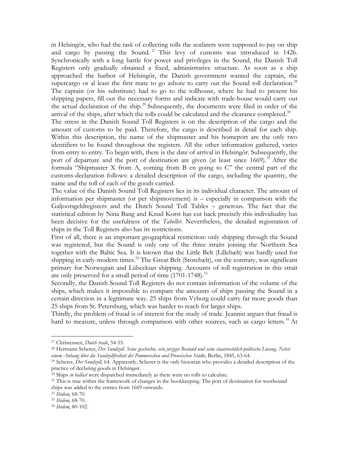in Helsingör, who had the task of collecting tolls the seafarers were supposed to pay on ship and cargo by passing the Sound.<sup>27</sup> This levy of customs was introduced in 1426. Synchronically with a long battle for power and privileges in the Sound, the Danish Toll Registers only gradually obtained a fixed, administrative structure. As soon as a ship approached the harbor of Helsingör, the Danish government wanted the captain, the supercargo or al least the first mate to go ashore to carry out the Sound toll declaration.<sup>28</sup> The captain (or his substitute) had to go to the tollhouse, where he had to present his shipping papers, fill out the necessary forms and indicate with trade-house would carry out the actual declaration of the ship.<sup>29</sup> Subsequently, the documents were filed in order of the arrival of the ships, after which the tolls could be calculated and the clearance completed. $30$ The stress in the Danish Sound Toll Registers is on the description of the cargo and the

amount of customs to be paid. Therefore, the cargo is described in detail for each ship. Within this description, the name of the shipmaster and his homeport are the only two identifiers to be found throughout the registers. All the other information gathered, varies from entry to entry. To begin with, there is the date of arrival in Helsingör. Subsequently, the port of departure and the port of destination are given (at least since  $1669$ ).<sup>31</sup> After the formula "Shipmaster X from A, coming from B en going to C" the central part of the customs-declaration follows: a detailed description of the cargo, including the quantity, the name and the toll of each of the goods carried.

The value of the Danish Sound Toll Registers lies in its individual character. The amount of information per shipmaster (or per shipmovement) is – especially in comparison with the Galjootsgeldregisters and the Dutch Sound Toll Tables – generous. The fact that the statistical edition by Nina Bang and Knud Korst has cut back precisely this individuality has been decisive for the usefulness of the *Tabeller*. Nevertheless, the detailed registration of ships in the Toll Registers also has its restrictions.

First of all, there is an important geographical restriction: only shipping through the Sound was registered, but the Sound is only one of the three straits joining the Northern Sea together with the Baltic Sea. It is known that the Little Belt (Lillebælt) was hardly used for shipping in early-modern times.<sup>32</sup> The Great Belt (Storebælt), on the contrary, was significant primary for Norwegian and Lübeckian shipping. Accounts of toll registration in this strait are only preserved for a small period of time  $(1701-1748)^{33}$ 

Secondly, the Danish Sound Toll Registers do not contain information of the volume of the ships, which makes it impossible to compare the amounts of ships passing the Sound in a certain direction in a legitimate way. 25 ships from Vyborg could carry far more goods than 25 ships from St. Petersburg, which was harder to reach for larger ships.

Thirdly, the problem of fraud is of interest for the study of trade. Jeannin argues that fraud is hard to measure, unless through comparison with other sources, such as cargo letters.<sup>34</sup> At

<sup>27</sup> Christensen, *Dutch trade*, 54-55.

<sup>28</sup> Hermann Scherer, *Der Sundzoll. Seine geschichte, sein jetziger Bestand und seine staatsrechtlich-politische Lösung. Nebst einem Anhang über die Sundzollfreiheit der Pommerschen und Preusischen Städte*, Berlin, 1845, 63-64.

<sup>29</sup> Scherer, *Der Sundzoll*, 64. Apparently, Scherer is the only historian who provides a detailed description of the practice of declaring goods in Helsingør.

<sup>30</sup> Ships *in ballast* were dispatched immediately as there were no tolls to calculate.

<sup>&</sup>lt;sup>31</sup> This is true within the framework of changes in the bookkeeping. The port of destination for westbound ships was added to the entries from 1669 onwards.

<sup>32</sup> *Ibidem*, 68-70.

<sup>33</sup> *Ibidem*, 68-70.

<sup>34</sup> *Ibidem*, 80-102.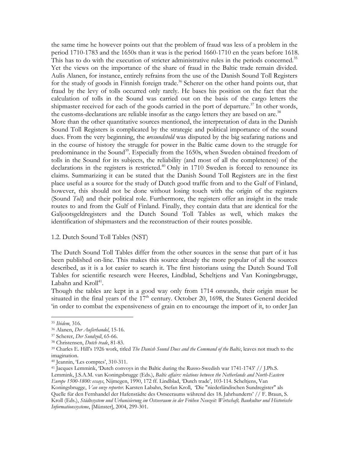the same time he however points out that the problem of fraud was less of a problem in the period 1710-1783 and the 1650s than it was is the period 1660-1710 en the years before 1618. This has to do with the execution of stricter administrative rules in the periods concerned.<sup>35</sup> Yet the views on the importance of the share of fraud in the Baltic trade remain divided. Aulis Alanen, for instance, entirely refrains from the use of the Danish Sound Toll Registers for the study of goods in Finnish foreign trade.<sup>36</sup> Scherer on the other hand points out, that fraud by the levy of tolls occurred only rarely. He bases his position on the fact that the calculation of tolls in the Sound was carried out on the basis of the cargo letters the shipmaster received for each of the goods carried in the port of departure.<sup>37</sup> In other words, the customs-declarations are reliable insofar as the cargo letters they are based on are.<sup>38</sup> More than the other quantitative sources mentioned, the interpretation of data in the Danish Sound Toll Registers is complicated by the strategic and political importance of the sound dues. From the very beginning, the *øresundstold* was disputed by the big seafaring nations and in the course of history the struggle for power in the Baltic came down to the struggle for predominance in the Sound<sup>39</sup>. Especially from the 1650s, when Sweden obtained freedom of tolls in the Sound for its subjects, the reliability (and most of all the completeness) of the declarations in the registers is restricted.<sup>40</sup> Only in 1710 Sweden is forced to renounce its claims. Summarizing it can be stated that the Danish Sound Toll Registers are in the first place useful as a source for the study of Dutch good traffic from and to the Gulf of Finland, however, this should not be done without losing touch with the origin of the registers (Sound *Toll*) and their political role. Furthermore, the registers offer an insight in the trade routes to and from the Gulf of Finland. Finally, they contain data that are identical for the Galjootsgeldregisters and the Dutch Sound Toll Tables as well, which makes the identification of shipmasters and the reconstruction of their routes possible.

#### 1.2. Dutch Sound Toll Tables (NST)

The Dutch Sound Toll Tables differ from the other sources in the sense that part of it has been published on-line. This makes this source already the more popular of all the sources described, as it is a lot easier to search it. The first historians using the Dutch Sound Toll Tables for scientific research were Heeres, Lindblad, Scheltjens and Van Koningsbrugge, Labahn and  $Kroll^{41}$ .

Though the tables are kept in a good way only from 1714 onwards, their origin must be situated in the final years of the  $17<sup>th</sup>$  century. October 20, 1698, the States General decided 'in order to combat the expensiveness of grain en to encourage the import of it, to order Jan

<sup>35</sup> *Ibidem*, 316.

<sup>36</sup> Alanen, *Der Außerhandel*, 15-16.

<sup>37</sup> Scherer, *Der Sundzoll*, 65-66.

<sup>38</sup> Christensen, *Dutch trade*, 81-83.

<sup>39</sup> Charles E. Hill's 1926 work, titled *The Danish Sound Dues and the Command of the Baltic*, leaves not much to the imagination.

<sup>40</sup> Jeannin, 'Les comptes', 310-311.

<sup>41</sup> Jacques Lemmink, 'Dutch convoys in the Baltic during the Russo-Swedish war 1741-1743' // J.Ph.S.

Lemmink, J.S.A.M. van Koningsbrugge (Eds.), *Baltic affairs: relations between the Netherlands and North-Eastern Europe 1500-1800: essays*, Nijmegen, 1990, 172 ff. Lindblad, 'Dutch trade', 103-114. Scheltjens, Van

Koningsbrugge, *Van onze reporter*. Karsten Labahn, Stefan Kroll, 'Die "niederländischen Sundregister" als Quelle für den Fernhandel der Hafenstädte des Ostseeraums während des 18. Jahrhunderts' // F. Braun, S. Kroll (Eds.), *Städtesystem und Urbanisierung im Ostseeraum in der Frühen Neuzeit: Wirtschaft, Baukultur und Historische Informationssysteme*, [Münster], 2004, 299-301.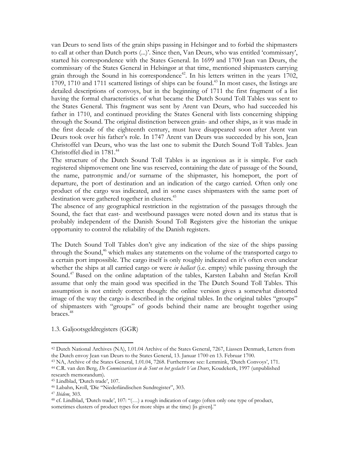van Deurs to send lists of the grain ships passing in Helsingør and to forbid the shipmasters to call at other than Dutch ports (...)'. Since then, Van Deurs, who was entitled 'commissary', started his correspondence with the States General. In 1699 and 1700 Jean van Deurs, the commissary of the States General in Helsingør at that time, mentioned shipmasters carrying grain through the Sound in his correspondence<sup>42</sup>. In his letters written in the years  $1702$ , 1709, 1710 and 1711 scattered listings of ships can be found.<sup>43</sup> In most cases, the listings are detailed descriptions of convoys, but in the beginning of 1711 the first fragment of a list having the formal characteristics of what became the Dutch Sound Toll Tables was sent to the States General. This fragment was sent by Arent van Deurs, who had succeeded his father in 1710, and continued providing the States General with lists concerning shipping through the Sound. The original distinction between grain- and other ships, as it was made in the first decade of the eighteenth century, must have disappeared soon after Arent van Deurs took over his father's role. In 1747 Arent van Deurs was succeeded by his son, Jean Christoffel van Deurs, who was the last one to submit the Dutch Sound Toll Tables. Jean Christoffel died in 1781.<sup>44</sup>

The structure of the Dutch Sound Toll Tables is as ingenious as it is simple. For each registered shipmovement one line was reserved, containing the date of passage of the Sound, the name, patronymic and/or surname of the shipmaster, his homeport, the port of departure, the port of destination and an indication of the cargo carried. Often only one product of the cargo was indicated, and in some cases shipmasters with the same port of destination were gathered together in clusters.<sup>45</sup>

The absence of any geographical restriction in the registration of the passages through the Sound, the fact that east- and westbound passages were noted down and its status that is probably independent of the Danish Sound Toll Registers give the historian the unique opportunity to control the reliability of the Danish registers.

The Dutch Sound Toll Tables don't give any indication of the size of the ships passing through the Sound,<sup>46</sup> which makes any statements on the volume of the transported cargo to a certain port impossible. The cargo itself is only roughly indicated en it's often even unclear whether the ships at all carried cargo or were *in ballast* (i.e. empty) while passing through the Sound.<sup>47</sup> Based on the online adaptation of the tables, Karsten Labahn and Stefan Kroll assume that only the main good was specified in the The Dutch Sound Toll Tables. This assumption is not entirely correct though: the online version gives a somewhat distorted image of the way the cargo is described in the original tables. In the original tables "groups" of shipmasters with "groups" of goods behind their name are brought together using braces.<sup>48</sup>

1.3. Galjootsgeldregisters (GGR)

<sup>42</sup> Dutch National Archives (NA), 1.01.04 Archive of the States General, 7267, Liassen Denmark, Letters from the Dutch envoy Jean van Deurs to the States General, 13. Januar 1700 en 13. Februar 1700.

<sup>43</sup> NA, Archive of the States General, 1.01.04, 7268. Furthermore see: Lemmink, 'Dutch Convoys', 171.

<sup>44</sup> C.R. van den Berg, *De Commissarissen in de Sont en het geslacht Van Deurs*, Koudekerk, 1997 (unpublished research memorandum).

<sup>45</sup> Lindblad, 'Dutch trade', 107.

<sup>46</sup> Labahn, Kroll, 'Die "Niederländischen Sundregister", 303.

<sup>47</sup> *Ibidem*, 303.

<sup>48</sup> cf. Lindblad, 'Dutch trade', 107: "(…) a rough indication of cargo (often only one type of product, sometimes clusters of product types for more ships at the time) [is given]."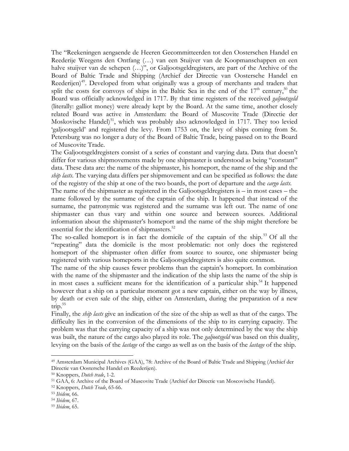The "Reekeningen aengaende de Heeren Gecommitteerden tot den Oosterschen Handel en Reederije Weegens den Ontfang (…) van een Stuijver van de Koopmanschappen en een halve stuijver van de schepen  $(\ldots)$ ", or Galjootsgeldregisters, are part of the Archive of the Board of Baltic Trade and Shipping (Archief der Directie van Oostersche Handel en Reederijen)<sup>49</sup>. Developed from what originally was a group of merchants and traders that split the costs for convoys of ships in the Baltic Sea in the end of the  $17<sup>th</sup>$  century,<sup>50</sup> the Board was officially acknowledged in 1717. By that time registers of the received *galjootsgeld* (literally: galliot money) were already kept by the Board. At the same time, another closely related Board was active in Amsterdam: the Board of Muscovite Trade (Directie der Moskovische Handel)<sup>51</sup>, which was probably also acknowledged in 1717. They too levied 'galjootsgeld' and registered the levy. From 1753 on, the levy of ships coming from St. Petersburg was no longer a duty of the Board of Baltic Trade, being passed on to the Board of Muscovite Trade.

The Galjootsgeldregisters consist of a series of constant and varying data. Data that doesn't differ for various shipmovements made by one shipmaster is understood as being "constant" data. These data are: the name of the shipmaster, his homeport, the name of the ship and the *ship lasts*. The varying data differs per shipmovement and can be specified as follows: the date of the registry of the ship at one of the two boards, the port of departure and the *cargo lasts*.

The name of the shipmaster as registered in the Galjootsgeldregisters is – in most cases – the name followed by the surname of the captain of the ship. It happened that instead of the surname, the patronymic was registered and the surname was left out. The name of one shipmaster can thus vary and within one source and between sources. Additional information about the shipmaster's homeport and the name of the ship might therefore be essential for the identification of shipmasters.<sup>52</sup>

The so-called homeport is in fact the domicile of the captain of the ship.<sup>53</sup> Of all the "repeating" data the domicile is the most problematic: not only does the registered homeport of the shipmaster often differ from source to source, one shipmaster being registered with various homeports in the Galjootsgeldregisters is also quite common.

The name of the ship causes fewer problems than the captain's homeport. In combination with the name of the shipmaster and the indication of the ship lasts the name of the ship is in most cases a sufficient means for the identification of a particular ship.<sup>54</sup> It happened however that a ship on a particular moment got a new captain, either on the way by illness, by death or even sale of the ship, either on Amsterdam, during the preparation of a new trip.<sup>55</sup>

Finally, the *ship lasts* give an indication of the size of the ship as well as that of the cargo. The difficulty lies in the conversion of the dimensions of the ship to its carrying capacity. The problem was that the carrying capacity of a ship was not only determined by the way the ship was built, the nature of the cargo also played its role. The *galjootsgeld* was based on this duality, levying on the basis of the *lastage* of the cargo as well as on the basis of the *lastage* of the ship.

<sup>49</sup> Amsterdam Municipal Archives (GAA), 78: Archive of the Board of Baltic Trade and Shipping (Archief der Directie van Oostersche Handel en Reederijen).

<sup>50</sup> Knoppers, *Dutch trade*, 1-2.

<sup>51</sup> GAA, 6: Archive of the Board of Muscovite Trade (Archief der Directie van Moscovische Handel).

<sup>52</sup> Knoppers, *Dutch Trade*, 65-66.

<sup>53</sup> *Ibidem*, 66.

<sup>54</sup> *Ibidem*, 67.

<sup>55</sup> *Ibidem*, 65.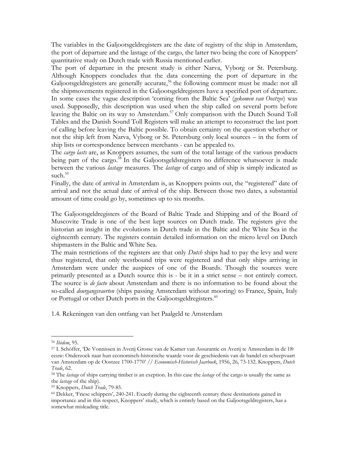The variables in the Galjootsgeldregisters are the date of registry of the ship in Amsterdam, the port of departure and the lastage of the cargo, the latter two being the core of Knoppers' quantitative study on Dutch trade with Russia mentioned earlier.

The port of departure in the present study is either Narva, Vyborg or St. Petersburg. Although Knoppers concludes that the data concerning the port of departure in the Galjootsgeldregisters are generally accurate,<sup>56</sup> the following comment must be made: not all the shipmovements registered in the Galjootsgeldregisters have a specified port of departure. In some cases the vague description 'coming from the Baltic Sea' (*gekomen van Oostzee*) was used. Supposedly, this description was used when the ship called on several ports before leaving the Baltic on its way to Amsterdam.<sup>57</sup> Only comparison with the Dutch Sound Toll Tables and the Danish Sound Toll Registers will make an attempt to reconstruct the last port of calling before leaving the Baltic possible. To obtain certainty on the question whether or not the ship left from Narva, Vyborg or St. Petersburg only local sources – in the form of ship lists or correspondence between merchants - can be appealed to.

The *cargo lasts* are, as Knoppers assumes, the sum of the total lastage of the various products being part of the cargo.<sup>58</sup> In the Galjootsgeldsregisters no difference whatsoever is made between the various *lastage* measures. The *lastage* of cargo and of ship is simply indicated as such.<sup>59</sup>

Finally, the date of arrival in Amsterdam is, as Knoppers points out, the "registered" date of arrival and not the actual date of arrival of the ship. Between those two dates, a substantial amount of time could go by, sometimes up to six months.

The Galjootsgeldregisters of the Board of Baltic Trade and Shipping and of the Board of Muscovite Trade is one of the best kept sources on Dutch trade. The registers give the historian an insight in the evolutions in Dutch trade in the Baltic and the White Sea in the eighteenth century. The registers contain detailed information on the micro level on Dutch shipmasters in the Baltic and White Sea.

The main restrictions of the registers are that only *Dutch* ships had to pay the levy and were thus registered, that only westbound trips were registered and that only ships arriving in Amsterdam were under the auspices of one of the Boards. Though the sources were primarily presented as a Dutch source this is - be it in a strict sense – not entirely correct. The source is *de facto* about Amsterdam and there is no information to be found about the so-called *deurgangsvaerten* (ships passing Amsterdam without mooring) to France, Spain, Italy or Portugal or other Dutch ports in the Galjootsgeldregisters.<sup>60</sup>

1.4. Rekeningen van den ontfang van het Paalgeld te Amsterdam

<sup>56</sup> *Ibidem*, 95.

<sup>57</sup> I. Schöffer, 'De Vonnissen in Averij Grosse van de Kamer van Assurantie en Averij te Amsterdam in de 18<sup>e</sup> eeuw: Onderzoek naar hun economisch-historische waarde voor de geschiedenis van de handel en scheepvaart van Amsterdam op de Oostzee 1700-1770' // *Economisch-Historisch Jaarboek*, 1956, 26, 73-132. Knoppers, *Dutch Trade*, 62.

<sup>58</sup> The *lastage* of ships carrying timber is an exeption. In this case the *lastage* of the cargo is usually the same as the *lastage* of the ship).

<sup>59</sup> Knoppers, *Dutch Trade*, 79-85.

 $60$  Dekker, 'Friese schippers', 240-241. Exactly during the eighteenth century these destinations gained in importance and in this respect, Knoppers' study, which is entirely based on the Galjootsgeldregisters, has a somewhat misleading title.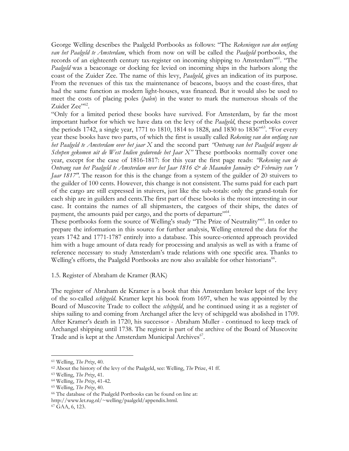George Welling describes the Paalgeld Portbooks as follows: "The *Rekeningen van den ontfang van het Paalgeld te Amsterdam*, which from now on will be called the *Paalgeld* portbooks, the records of an eighteenth century tax-register on incoming shipping to Amsterdam"<sup>61</sup>. "The *Paalgeld* was a beaconage or docking fee levied on incoming ships in the harbors along the coast of the Zuider Zee. The name of this levy, *Paalgeld*, gives an indication of its purpose. From the revenues of this tax the maintenance of beacons, buoys and the coast-fires, that had the same function as modern light-houses, was financed. But it would also be used to meet the costs of placing poles (*palen*) in the water to mark the numerous shoals of the Zuider Zee"<sup>62</sup>.

"Only for a limited period these books have survived. For Amsterdam, by far the most important harbor for which we have data on the levy of the *Paalgeld*, these portbooks cover the periods 1742, a single year, 1771 to 1810, 1814 to 1828, and 1830 to 1836"<sup>63</sup>. "For every year these books have two parts, of which the first is usually called *Rekening van den ontfang van het Paalgeld te Amsterdam over het jaar X* and the second part *"Ontvang van het Paalgeld wegens de Schepen gekomen uit de West Indien gedurende het Jaar X"* These portbooks normally cover one year, except for the case of 1816-1817: for this year the first page reads: *"Rekening van de Ontvang van het Paalgeld te Amsterdam over het Jaar 1816 & de Maanden Januäry & Februäry van 't Jaar 1817"*. The reason for this is the change from a system of the guilder of 20 stuivers to the guilder of 100 cents. However, this change is not consistent. The sums paid for each part of the cargo are still expressed in stuivers, just like the sub-totals: only the grand-totals for each ship are in guilders and cents.The first part of these books is the most interesting in our case. It contains the names of all shipmasters, the cargoes of their ships, the dates of payment, the amounts paid per cargo, and the ports of departure"<sup>64</sup>.

These portbooks form the source of Welling's study "The Prize of Neutrality"<sup>65</sup>. In order to prepare the information in this source for further analysis, Welling entered the data for the years 1742 and 1771-1787 entirely into a database. This source-oriented approach provided him with a huge amount of data ready for processing and analysis as well as with a frame of reference necessary to study Amsterdam's trade relations with one specific area. Thanks to Welling's efforts, the Paalgeld Portbooks are now also available for other historians<sup>66</sup>.

#### 1.5. Register of Abraham de Kramer (RAK)

The register of Abraham de Kramer is a book that this Amsterdam broker kept of the levy of the so-called *schipgeld*. Kramer kept his book from 1697, when he was appointed by the Board of Muscovite Trade to collect the *schipgeld*, and he continued using it as a register of ships sailing to and coming from Archangel after the levy of schipgeld was abolished in 1709. After Kramer's death in 1720, his successor - Abraham Muller - continued to keep track of Archangel shipping until 1738. The register is part of the archive of the Board of Muscovite Trade and is kept at the Amsterdam Municipal Archives<sup>67</sup>.

<sup>61</sup> Welling, *The Prize*, 40.

<sup>62</sup> About the history of the levy of the Paalgeld, see: Welling, *The* Prize, 41 ff.

<sup>63</sup> Welling, *The Prize*, 41.

<sup>64</sup> Welling, *The Prize*, 41-42.

<sup>65</sup> Welling, *The Prize*, 40.

<sup>66</sup> The database of the Paalgeld Portbooks can be found on line at:

http://www.let.rug.nl/~welling/paalgeld/appendix.html.

<sup>67</sup> GAA, 6, 123.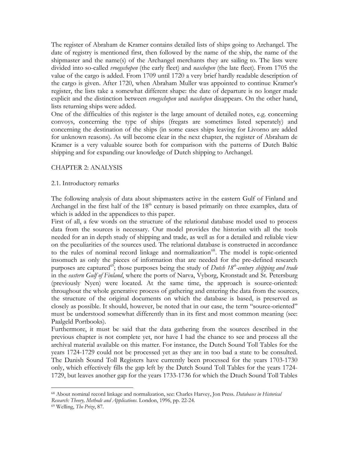The register of Abraham de Kramer contains detailed lists of ships going to Archangel. The date of registry is mentioned first, then followed by the name of the ship, the name of the shipmaster and the name(s) of the Archangel merchants they are sailing to. The lists were divided into so-called *vroegschepen* (the early fleet) and *naschepen* (the late fleet). From 1705 the value of the cargo is added. From 1709 until 1720 a very brief hardly readable description of the cargo is given. After 1720, when Abraham Muller was appointed to continue Kramer's register, the lists take a somewhat different shape: the date of departure is no longer made explicit and the distinction between *vroegschepen* and *naschepen* disappears. On the other hand, lists returning ships were added.

One of the difficulties of this register is the large amount of detailed notes, e.g. concerning convoys, concerning the type of ships (fregats are sometimes listed seperately) and concerning the destination of the ships (in some cases ships leaving for Livorno are added for unknown reasons). As will become clear in the next chapter, the register of Abraham de Kramer is a very valuable source both for comparison with the patterns of Dutch Baltic shipping and for expanding our knowledge of Dutch shipping to Archangel.

#### CHAPTER 2: ANALYSIS

#### 2.1. Introductory remarks

The following analysis of data about shipmasters active in the eastern Gulf of Finland and Archangel in the first half of the  $18<sup>th</sup>$  century is based primarily on three examples, data of which is added in the appendices to this paper.

First of all, a few words on the structure of the relational database model used to process data from the sources is necessary. Our model provides the historian with all the tools needed for an in depth study of shipping and trade, as well as for a detailed and reliable view on the peculiarities of the sources used. The relational database is constructed in accordance to the rules of nominal record linkage and normalization<sup>68</sup>. The model is topic-oriented insomuch as only the pieces of information that are needed for the pre-defined research purposes are captured<sup>69</sup>; those purposes being the study of *Dutch* 18<sup>*th*</sup>-*century shipping and trade* in the *eastern Gulf of Finland*, where the ports of Narva, Vyborg, Kronstadt and St. Petersburg (previously Nyen) were located. At the same time, the approach is source-oriented: throughout the whole generative process of gathering and entering the data from the sources, the structure of the original documents on which the database is based, is preserved as closely as possible. It should, however, be noted that in our case, the term "source-oriented" must be understood somewhat differently than in its first and most common meaning (see: Paalgeld Portbooks).

Furthermore, it must be said that the data gathering from the sources described in the previous chapter is not complete yet, nor have I had the chance to see and process all the archival material available on this matter. For instance, the Dutch Sound Toll Tables for the years 1724-1729 could not be processed yet as they are in too bad a state to be consulted. The Danish Sound Toll Registers have currently been processed for the years 1703-1730 only, which effectively fills the gap left by the Dutch Sound Toll Tables for the years 1724- 1729, but leaves another gap for the years 1733-1736 for which the Dtuch Sound Toll Tables

<sup>68</sup> About nominal record linkage and normalization, see: Charles Harvey, Jon Press. *Databases in Historical Research: Theory, Methods and Applications*. London, 1996, pp. 22-24.

<sup>69</sup> Welling, *The Prize*, 87.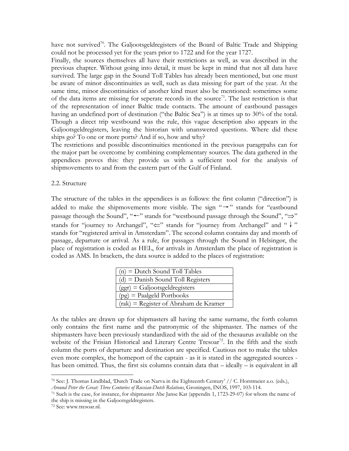have not survived<sup>70</sup>. The Galjootsgeldregisters of the Board of Baltic Trade and Shipping could not be processed yet for the years prior to 1722 and for the year 1727.

Finally, the sources themselves all have their restrictions as well, as was described in the previous chapter. Without going into detail, it must be kept in mind that not all data have survived. The large gap in the Sound Toll Tables has already been mentioned, but one must be aware of minor discontinuities as well, such as data missing for part of the year. At the same time, minor discontinuities of another kind must also be mentioned: sometimes some of the data items are missing for seperate records in the source<sup>71</sup>. The last restriction is that of the representation of inner Baltic trade contacts. The amount of eastbound passages having an undefined port of destination ("the Baltic Sea") is at times up to 30% of the total. Though a direct trip westbound was the rule, this vague description also appears in the Galjootsgeldregisters, leaving the historian with unanswered questions. Where did these ships go? To one or more ports? And if so, how and why?

The restrictions and possible discontinuities mentioned in the previous paragrpahs can for the major part be overcome by combining complementary sources. The data gathered in the appendices proves this: they provide us with a sufficient tool for the analysis of shipmovements to and from the eastern part of the Gulf of Finland.

#### 2.2. Structure

The structure of the tables in the appendices is as follows: the first column ("direction") is added to make the shipmovements more visible. The sign " $\rightarrow$ " stands for "eastbound" passage theough the Sound", "←" stands for "westbound passage through the Sound", "⇒" stands for "journey to Archangel", " <= " stands for "journey from Archangel" and " ↓" stands for "registered arrival in Amsterdam". The second column contains day and month of passage, departure or arrival. As a rule, for passages through the Sound in Helsingør, the place of registration is coded as HEL, for arrivals in Amsterdam the place of registration is coded as AMS. In brackets, the data source is added to the places of registration:

| $(n)$ = Dutch Sound Toll Tables         |
|-----------------------------------------|
| $(d)$ = Danish Sound Toll Registers     |
| $(ggr) = Galjootsgeldregisters$         |
| $(pg)$ = Paalgeld Portbooks             |
| $(rak)$ = Register of Abraham de Kramer |

As the tables are drawn up for shipmasters all having the same surname, the forth column only contains the first name and the patronymic of the shipmaster. The names of the shipmasters have been previously standardized with the aid of the thesaurus available on the website of the Frisian Historical and Literary Centre Tresoar<sup>72</sup>. In the fifth and the sixth column the ports of departure and destination are specified. Cautious not to make the tables even more complex, the homeport of the captain - as it is stated in the aggregated sources has been omitted. Thus, the first six columns contain data that – ideally – is equivalent in all

 $^{70}$  See: J. Thomas Lindblad, 'Dutch Trade on Narva in the Eighteenth Century' // C. Horstmeier a.o. (eds.), *Around Peter the Great: Three Centuries of Russian-Dutch Relations*, Groningen, INOS, 1997, 103-114.

<sup>71</sup> Such is the case, for instance, for shipmaster Abe Janse Kat (appendix 1, 1723-29-07) for whom the name of the ship is missing in the Galjootsgeldregisters.

<sup>72</sup> See: www.tresoar.nl.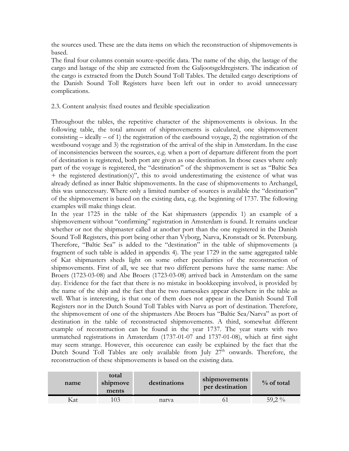the sources used. These are the data items on which the reconstruction of shipmovements is based.

The final four columns contain source-specific data. The name of the ship, the lastage of the cargo and lastage of the ship are extracted from the Galjootsgeldregisters. The indication of the cargo is extracted from the Dutch Sound Toll Tables. The detailed cargo descriptions of the Danish Sound Toll Registers have been left out in order to avoid unnecessary complications.

### 2.3. Content analysis: fixed routes and flexible specialization

Throughout the tables, the repetitive character of the shipmovements is obvious. In the following table, the total amount of shipmovements is calculated, one shipmovement consisting  $-$  ideally  $-$  of 1) the registration of the eastbound voyage, 2) the registration of the westbound voyage and 3) the registration of the arrival of the ship in Amsterdam. In the case of inconsistencies between the sources, e.g. when a port of departure different from the port of destination is registered, both port are given as one destination. In those cases where only part of the voyage is registered, the "destination" of the shipmovement is set as "Baltic Sea + the registered destination(s)", this to avoid underestimating the existence of what was already defined as inner Baltic shipmovements. In the case of shipmovements to Archangel, this was unnecessary. Where only a limited number of sources is available the "destination" of the shipmovement is based on the existing data, e.g. the beginning of 1737. The following examples will make things clear.

In the year 1725 in the table of the Kat shipmasters (appendix 1) an example of a shipmovement without "confirming" registration in Amsterdam is found. It remains unclear whether or not the shipmaster called at another port than the one registered in the Danish Sound Toll Registers, this port being other than Vyborg, Narva, Kronstadt or St. Petersburg. Therefore, "Baltic Sea" is added to the "destination" in the table of shipmovements (a fragment of such table is added in appendix 4). The year 1729 in the same aggregated table of Kat shipmasters sheds light on some other peculiarities of the reconstruction of shipmovements. First of all, we see that two different persons have the same name: Abe Broers (1723-03-08) and Abe Broers (1723-03-08) arrived back in Amsterdam on the same day. Evidence for the fact that there is no mistake in bookkeeping involved, is provided by the name of the ship and the fact that the two namesakes appear elsewhere in the table as well. What is interesting, is that one of them does not appear in the Danish Sound Toll Registers nor in the Dutch Sound Toll Tables with Narva as port of destination. Therefore, the shipmovement of one of the shipmasters Abe Broers has "Baltic Sea/Narva" as port of destination in the table of reconstructed shipmovements. A third, somewhat different example of reconstruction can be found in the year 1737. The year starts with two unmatched registrations in Amsterdam (1737-01-07 and 1737-01-08), which at first sight may seem strange. However, this occurence can easily be explained by the fact that the Dutch Sound Toll Tables are only available from July 27<sup>th</sup> onwards. Therefore, the reconstruction of these shipmovements is based on the existing data.

| name | total<br>shipmove<br>ments | destinations | shipmovements<br>per destination | $\%$ of total |
|------|----------------------------|--------------|----------------------------------|---------------|
| Kat  | 103                        | narva        |                                  | 59,2 $\%$     |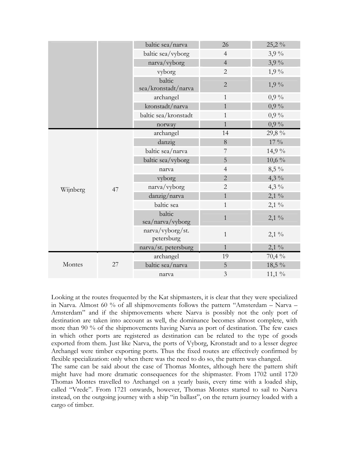|          |    | baltic sea/narva               | 26             | 25,2%    |
|----------|----|--------------------------------|----------------|----------|
|          |    | baltic sea/vyborg              | $\overline{4}$ | $3,9\%$  |
|          |    | narva/vyborg                   | $\overline{4}$ | $3,9\%$  |
|          |    | vyborg                         | $\overline{2}$ | $1,9\%$  |
|          |    | baltic<br>sea/kronstadt/narva  | $\overline{2}$ | $1,9\%$  |
|          |    | archangel                      | $\mathbf{1}$   | $0.9\%$  |
|          |    | kronstadt/narva                | $\mathbf{1}$   | $0,9\%$  |
|          |    | baltic sea/kronstadt           | $\mathbf{1}$   | $0,9\%$  |
|          |    | norway                         | $\mathbf{1}$   | $0,9\%$  |
|          |    | archangel                      | 14             | 29,8 %   |
|          |    | danzig                         | 8              | $17\%$   |
|          |    | baltic sea/narva               | $\overline{7}$ | 14,9 %   |
|          |    | baltic sea/vyborg              | 5              | $10,6\%$ |
|          |    | narva                          | $\overline{4}$ | $8,5\%$  |
|          |    | vyborg                         | $\overline{2}$ | 4,3 $\%$ |
| Wijnberg | 47 | narva/vyborg                   | $\overline{2}$ | $4,3\%$  |
|          |    | danzig/narva                   | $\mathbf{1}$   | $2,1\%$  |
|          |    | baltic sea                     | $\mathbf{1}$   | $2,1\%$  |
|          |    | baltic<br>sea/narva/vyborg     | $\mathbf{1}$   | $2,1\%$  |
|          |    | narva/vyborg/st.<br>petersburg | $\mathbf{1}$   | $2,1\%$  |
|          |    | narva/st. petersburg           | $\mathbf{1}$   | $2,1\%$  |
|          |    | archangel                      | 19             | 70,4 %   |
| Montes   | 27 | baltic sea/narva               | 5              | 18,5 %   |
|          |    | narva                          | 3              | $11,1\%$ |

Looking at the routes frequented by the Kat shipmasters, it is clear that they were specialized in Narva. Almost 60 % of all shipmovements follows the pattern "Amsterdam – Narva – Amsterdam" and if the shipmovements where Narva is possibly not the only port of destination are taken into account as well, the dominance becomes almost complete, with more than 90 % of the shipmovements having Narva as port of destination. The few cases in which other ports are registered as destination can be related to the type of goods exported from them. Just like Narva, the ports of Vyborg, Kronstadt and to a lesser degree Archangel were timber exporting ports. Thus the fixed routes are effectively confirmed by flexible specialization: only when there was the need to do so, the pattern was changed.

The same can be said about the case of Thomas Montes, although here the pattern shift might have had more dramatic consequences for the shipmaster. From 1702 until 1720 Thomas Montes travelled to Archangel on a yearly basis, every time with a loaded ship, called "Vrede". From 1721 onwards, however, Thomas Montes started to sail to Narva instead, on the outgoing journey with a ship "in ballast", on the return journey loaded with a cargo of timber.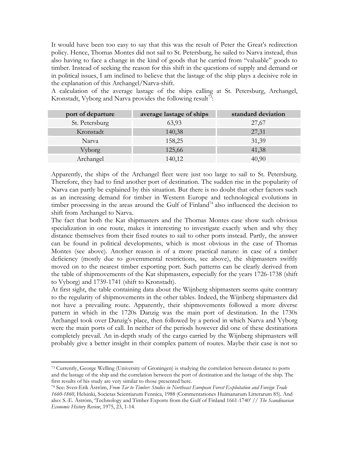It would have been too easy to say that this was the result of Peter the Great's redirection policy. Hence, Thomas Montes did not sail to St. Petersburg, he sailed to Narva instead, thus also having to face a change in the kind of goods that he carried from "valuable" goods to timber. Instead of seeking the reason for this shift in the questions of supply and demand or in political issues, I am inclined to believe that the lastage of the ship plays a decisive role in the explanation of this Archangel/Narva-shift.

A calculation of the average lastage of the ships calling at St. Petersburg, Archangel, Kronstadt, Vyborg and Narva provides the following result<sup>73</sup>:

| port of departure | average lastage of ships | standard deviation |
|-------------------|--------------------------|--------------------|
| St. Petersburg    | 63,93                    | 27,67              |
| Kronstadt         | 140,38                   | 27,31              |
| Narva             | 158,25                   | 31,39              |
| Vyborg            | 125,66                   | 41,38              |
| Archangel         | 140,12                   | 40,90              |

Apparently, the ships of the Archangel fleet were just too large to sail to St. Petersburg. Therefore, they had to find another port of destination. The sudden rise in the popularity of Narva can partly be explained by this situation. But there is no doubt that other factors such as an increasing demand for timber in Western Europe and technological evolutions in timber processing in the areas around the Gulf of Finland<sup>74</sup> also influenced the decision to shift from Archangel to Narva.

The fact that both the Kat shipmasters and the Thomas Montes case show such obvious specialization in one route, makes it interesting to investigate exactly when and why they distance themselves from their fixed routes to sail to other ports instead. Partly, the answer can be found in political developments, which is most obvious in the case of Thomas Montes (see above). Another reason is of a more practical nature: in case of a timber deficiency (mostly due to governmental restrictions, see above), the shipmasters swiftly moved on to the nearest timber exporting port. Such patterns can be clearly derived from the table of shipmovements of the Kat shipmasters, especially for the years 1726-1738 (shift to Vyborg) and 1739-1741 (shift to Kronstadt).

At first sight, the table containing data about the Wijnberg shipmasters seems quite contrary to the regularity of shipmovements in the other tables. Indeed, the Wijnberg shipmasters did not have a prevailing route. Apparently, their shipmovements followed a more diverse pattern in which in the 1720s Danzig was the main port of destination. In the 1730s Archangel took over Danzig's place, then followed by a period in which Narva and Vyborg were the main ports of call. In neither of the periods however did one of these destinations completely prevail. An in-depth study of the cargo carried by the Wijnberg shipmasters will probably give a better insight in their complex pattern of routes. Maybe their case is not so

<sup>73</sup> Currently, George Welling (University of Groningen) is studying the correlation between distance to ports and the lastage of the ship and the correlation between the port of destination and the lastage of the ship. The first results of his study are very similar to those presented here.

<sup>74</sup> See: Sven-Erik Åström, *From Tar to Timber: Studies in Northeast European Forest Exploitation and Foreign Trade 1660-1860*, Helsinki, Societas Scientiarum Fennica, 1988 (Commentationes Huimanarum Litterarum 85). And also: S.-E. Åström, 'Technology and Timber Exports from the Gulf of Finland 1661-1740' // *The Scandinavian Economic History Review*, 1975, 23, 1-14.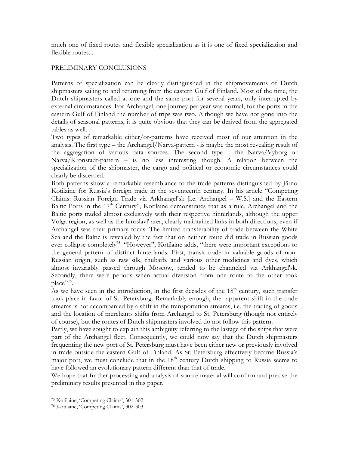much one of fixed routes and flexible specialization as it is one of fixed specialization and flexible routes...

### PRELIMINARY CONCLUSIONS

Patterns of specialization can be clearly distinguished in the shipmovements of Dutch shipmasters sailing to and returning from the eastern Gulf of Finland. Most of the time, the Dutch shipmasters called at one and the same port for several years, only interrupted by external circumstances. For Archangel, one journey per year was normal, for the ports in the eastern Gulf of Finland the number of trips was two. Although we have not gone into the details of seasonal patterns, it is quite obvious that they can be derived from the aggregated tables as well.

Two types of remarkable either/or-patterns have received most of our attention in the analysis. The first type – the Archangel/Narva-pattern - is maybe the most revealing result of the aggregation of various data sources. The second type – the Narva/Vyborg or Narva/Kronstadt-pattern – is no less interesting though. A relation between the specialization of the shipmaster, the cargo and political or economic circumstances could clearly be discerned.

Both patterns show a remarkable resemblance to the trade patterns distinguished by Järno Kotilaine for Russia's foreign trade in the seventeenth century. In his article "Competing Claims: Russian Foreign Trade via Arkhangel'sk [i.e. Archangel – W.S.] and the Eastern Baltic Ports in the  $17<sup>th</sup>$  Century", Kotilaine demonstrates that as a rule, Archangel and the Baltic ports traded almost exclusively with their respective hinterlands, although the upper Volga region, as well as the Iaroslavl' area, clearly maintained links in both directions, even if Archangel was their primary focus. The limited transferability of trade between the White Sea and the Baltic is revealed by the fact that on neither route did trade in Russian goods ever collapse completely<sup>75</sup>. "However", Kotilaine adds, "there were important exceptions to the general pattern of distinct hinterlands. First, transit trade in valuable goods of non-Russian origin, such as raw silk, rhubarb, and various other medicines and dyes, which almost invariably passed through Moscow, tended to be channeled via Arkhangel'sk. Secondly, there were periods when actual diversion from one route to the other took place"<sup>76</sup>.

As we have seen in the introduction, in the first decades of the  $18<sup>th</sup>$  century, such transfer took place in favor of St. Petersburg. Remarkably enough, the apparent shift in the trade streams is not accompanied by a shift in the transportation streams, i.e. the trading of goods and the location of merchants shifts from Archangel to St. Petersburg (though not entirely of course), but the routes of Dutch shipmasters involved do not follow this pattern.

Partly, we have sought to explain this ambiguity referring to the lastage of the ships that were part of the Archangel fleet. Consequently, we could now say that the Dutch shipmasters frequenting the new port of St. Petersburg must have been either new or previously involved in trade outside the eastern Gulf of Finland. As St. Petersburg effectively became Russia's major port, we must conclude that in the  $18<sup>th</sup>$  century Dutch shipping to Russia seems to have followed an evolutionary pattern different than that of trade.

We hope that further processing and analysis of source material will confirm and precise the preliminary results presented in this paper.

<sup>75</sup> Kotilaine, 'Competing Claims', 301-302

<sup>76</sup> Kotilaine, 'Competing Claims', 302-303.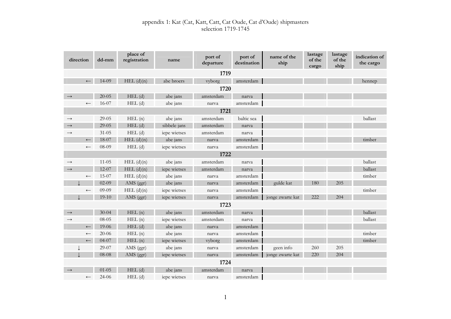| direction         | dd-mm     | place of<br>registration | name         | port of<br>departure | port of<br>destination | name of the<br>ship | lastage<br>of the<br>cargo | lastage<br>of the<br>ship | indication of<br>the cargo |  |
|-------------------|-----------|--------------------------|--------------|----------------------|------------------------|---------------------|----------------------------|---------------------------|----------------------------|--|
|                   |           |                          |              | 1719                 |                        |                     |                            |                           |                            |  |
| $\leftarrow$      | 14-09     | $HEL$ $(d)(n)$           | abe broers   | vyborg               | amsterdam              |                     |                            |                           | hennep                     |  |
|                   |           |                          |              | 1720                 |                        |                     |                            |                           |                            |  |
|                   | $20 - 05$ | $HEL$ (d)                | abe jans     | amsterdam            | narva                  |                     |                            |                           |                            |  |
| $\leftarrow$      | 16-07     | $HEL$ (d)                | abe jans     | narva                | amsterdam              |                     |                            |                           |                            |  |
|                   |           |                          |              | 1721                 |                        |                     |                            |                           |                            |  |
| $\longrightarrow$ | $29 - 05$ | HEL(n)                   | abe jans     | amsterdam            | baltic sea             |                     |                            |                           | ballast                    |  |
| $\rightarrow$     | $29 - 05$ | $HEL$ (d)                | sibbele jans | amsterdam            | narva                  |                     |                            |                           |                            |  |
| $\rightarrow$     | $31 - 05$ | $HEL$ (d)                | iepe wietses | amsterdam            | narva                  |                     |                            |                           |                            |  |
| $\longleftarrow$  | 18-07     | $HEL$ $(d)(n)$           | abe jans     | narva                | amsterdam              |                     |                            |                           | timber                     |  |
| $\longleftarrow$  | 08-09     | $HEL$ (d)                | iepe wietses | narva                | amsterdam              |                     |                            |                           |                            |  |
| 1722              |           |                          |              |                      |                        |                     |                            |                           |                            |  |
| $\longrightarrow$ | $11 - 05$ | $HEL$ $(d)(n)$           | abe jans     | amsterdam            | narva                  |                     |                            |                           | ballast                    |  |
| $\rightarrow$     | $12-07$   | $HEL$ $(d)(n)$           | iepe wietses | amsterdam            | narva                  |                     |                            |                           | ballast                    |  |
| $\leftarrow$      | 15-07     | $HEL$ $(d)(n)$           | abe jans     | narva                | amsterdam              |                     |                            |                           | timber                     |  |
|                   | $02-09$   | AMS (ggr)                | abe jans     | narva                | amsterdam              | gulde kat           | 180                        | 205                       |                            |  |
| $\leftarrow$      | 09-09     | $HEL$ $(d)(n)$           | iepe wietses | narva                | amsterdam              |                     |                            |                           | timber                     |  |
|                   | $19-10$   | AMS (ggr)                | iepe wietses | narva                | amsterdam              | jonge zwarte kat    | 222                        | 204                       |                            |  |
|                   |           |                          |              | 1723                 |                        |                     |                            |                           |                            |  |
| $\rightarrow$     | $30 - 04$ | HEL(n)                   | abe jans     | amsterdam            | narva                  |                     |                            |                           | ballast                    |  |
| $\rightarrow$     | 08-05     | HEL(n)                   | iepe wietses | amsterdam            | narva                  |                     |                            |                           | ballast                    |  |
| $\longleftarrow$  | 19-06     | $HEL$ (d)                | abe jans     | narva                | amsterdam              |                     |                            |                           |                            |  |
| $\leftarrow$      | $20 - 06$ | HEL(n)                   | abe jans     | narva                | amsterdam              |                     |                            |                           | timber                     |  |
| $\longleftarrow$  | $04 - 07$ | HEL(n)                   | iepe wietses | vyborg               | amsterdam              |                     |                            |                           | timber                     |  |
|                   | 29-07     | AMS (ggr)                | abe jans     | narva                | amsterdam              | geen info           | 260                        | 205                       |                            |  |
|                   | $08 - 08$ | AMS (ggr)                | iepe wietses | narva                | amsterdam              | jonge zwarte kat    | 220                        | 204                       |                            |  |
|                   |           |                          |              | 1724                 |                        |                     |                            |                           |                            |  |
| $\rightarrow$     | $01 - 05$ | $HEL$ (d)                | abe jans     | amsterdam            | narva                  |                     |                            |                           |                            |  |
| $\leftarrow$      | $24 - 06$ | $HEL$ (d)                | iepe wietses | narva                | amsterdam              |                     |                            |                           |                            |  |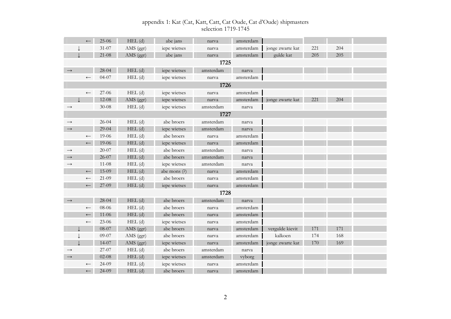|                   |                  | 25-06     | $HEL$ (d)   | abe jans     | narva     | amsterdam |                  |     |     |  |
|-------------------|------------------|-----------|-------------|--------------|-----------|-----------|------------------|-----|-----|--|
|                   |                  | $31 - 07$ | AMS (ggr)   | iepe wietses | narva     | amsterdam | jonge zwarte kat | 221 | 204 |  |
|                   |                  | $21-08$   | AMS (ggr)   | abe jans     | narva     | amsterdam | gulde kat        | 205 | 205 |  |
|                   |                  |           |             |              | 1725      |           |                  |     |     |  |
| $\rightarrow$     |                  | 28-04     | $HEL$ (d)   | iepe wietses | amsterdam | narva     |                  |     |     |  |
|                   | $\leftarrow$     | $04 - 07$ | $HEL$ (d)   | iepe wietses | narva     | amsterdam |                  |     |     |  |
|                   |                  |           |             |              | 1726      |           |                  |     |     |  |
|                   | $\longleftarrow$ | 27-06     | $HEL$ $(d)$ | iepe wietses | narva     | amsterdam |                  |     |     |  |
|                   |                  | $12 - 08$ | AMS (ggr)   | iepe wietses | narva     | amsterdam | jonge zwarte kat | 221 | 204 |  |
| $\rightarrow$     |                  | $30 - 08$ | $HEL$ $(d)$ | iepe wietses | amsterdam | narva     |                  |     |     |  |
|                   |                  |           |             |              | 1727      |           |                  |     |     |  |
| $\longrightarrow$ |                  | $26 - 04$ | $HEL$ $(d)$ | abe broers   | amsterdam | narva     |                  |     |     |  |
| $\rightarrow$     |                  | $29-04$   | $HEL$ (d)   | iepe wietses | amsterdam | narva     |                  |     |     |  |
|                   | $\longleftarrow$ | 19-06     | $HEL$ (d)   | abe broers   | narva     | amsterdam |                  |     |     |  |
|                   | $\leftarrow$     | 19-06     | $HEL$ (d)   | iepe wietses | narva     | amsterdam |                  |     |     |  |
| $\longrightarrow$ |                  | $20 - 07$ | $HEL$ (d)   | abe broers   | amsterdam | narva     |                  |     |     |  |
| $\rightarrow$     |                  | $26 - 07$ | $HEL$ (d)   | abe broers   | amsterdam | narva     |                  |     |     |  |
| $\longrightarrow$ |                  | $11 - 08$ | $HEL$ (d)   | iepe wietses | amsterdam | narva     |                  |     |     |  |
|                   | $\leftarrow$     | 15-09     | $HEL$ (d)   | abe mons (?) | narva     | amsterdam |                  |     |     |  |
|                   | $\leftarrow$     | $21-09$   | $HEL$ (d)   | abe broers   | narva     | amsterdam |                  |     |     |  |
|                   | $\longleftarrow$ | 27-09     | $HEL$ (d)   | iepe wietses | narva     | amsterdam |                  |     |     |  |
|                   |                  |           |             |              | 1728      |           |                  |     |     |  |
| $\rightarrow$     |                  | $28 - 04$ | $HEL$ (d)   | abe broers   | amsterdam | narva     |                  |     |     |  |
|                   | $\leftarrow$     | 08-06     | $HEL$ (d)   | abe broers   | narva     | amsterdam |                  |     |     |  |
|                   | $\longleftarrow$ | $11 - 06$ | $HEL$ (d)   | abe broers   | narva     | amsterdam |                  |     |     |  |
|                   | $\leftarrow$     | $23 - 06$ | $HEL$ (d)   | iepe wietses | narva     | amsterdam |                  |     |     |  |
|                   |                  | 08-07     | AMS (ggr)   | abe broers   | narva     | amsterdam | vergulde kievit  | 171 | 171 |  |
|                   |                  | 09-07     | AMS (ggr)   | abe broers   | narva     | amsterdam | kalkoen          | 174 | 168 |  |
|                   |                  | $14 - 07$ | AMS (ggr)   | iepe wietses | narva     | amsterdam | jonge zwarte kat | 170 | 169 |  |
| $\rightarrow$     |                  | 27-07     | $HEL$ (d)   | abe broers   | amsterdam | narva     |                  |     |     |  |
| $\rightarrow$     |                  | $02 - 08$ | $HEL$ (d)   | iepe wietses | amsterdam | vyborg    |                  |     |     |  |
|                   | $\leftarrow$     | 24-09     | $HEL$ (d)   | iepe wietses | narva     | amsterdam |                  |     |     |  |
|                   | $\leftarrow$     | $24 - 09$ | $HEL$ (d)   | abe broers   | narva     | amsterdam |                  |     |     |  |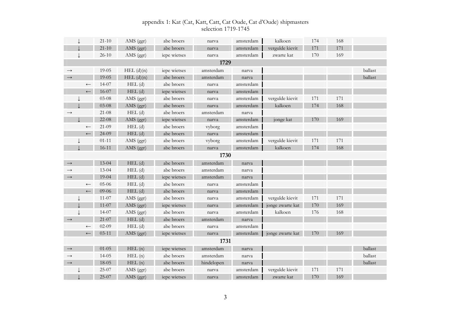|  |                     | appendix 1: Kat (Cat, Katt, Catt, Cat Oude, Cat d'Oude) shipmasters |  |
|--|---------------------|---------------------------------------------------------------------|--|
|  | selection 1719-1745 |                                                                     |  |

|                   |                  | $21 - 10$ | AMS (ggr)      | abe broers   | narva      | amsterdam | kalkoen          | 174 | 168 |         |
|-------------------|------------------|-----------|----------------|--------------|------------|-----------|------------------|-----|-----|---------|
|                   |                  | $21 - 10$ | AMS (ggr)      | abe broers   | narva      | amsterdam | vergulde kievit  | 171 | 171 |         |
|                   |                  | $26 - 10$ | AMS (ggr)      | iepe wietses | narva      | amsterdam | zwarte kat       | 170 | 169 |         |
|                   |                  |           |                |              | 1729       |           |                  |     |     |         |
| $\longrightarrow$ |                  | 19-05     | $HEL$ $(d)(n)$ | iepe wietses | amsterdam  | narva     |                  |     |     | ballast |
| $\rightarrow$     |                  | 19-05     | $HEL$ $(d)(n)$ | abe broers   | amsterdam  | narva     |                  |     |     | ballast |
|                   | $\leftarrow$     | 14-07     | $HEL$ (d)      | abe broers   | narva      | amsterdam |                  |     |     |         |
|                   | $\leftarrow$     | 16-07     | $HEL$ (d)      | iepe wietses | narva      | amsterdam |                  |     |     |         |
|                   |                  | $03 - 08$ | AMS (ggr)      | abe broers   | narva      | amsterdam | vergulde kievit  | 171 | 171 |         |
|                   |                  | $03 - 08$ | AMS (ggr)      | abe broers   | narva      | amsterdam | kalkoen          | 174 | 168 |         |
| $\longrightarrow$ |                  | $21 - 08$ | $HEL$ (d)      | abe broers   | amsterdam  | narva     |                  |     |     |         |
|                   |                  | $22-08$   | AMS (ggr)      | iepe wietses | narva      | amsterdam | jonge kat        | 170 | 169 |         |
|                   | $\leftarrow$     | $21 - 09$ | $HEL$ (d)      | abe broers   | vyborg     | amsterdam |                  |     |     |         |
|                   | $\leftarrow$     | 24-09     | $HEL$ (d)      | abe broers   | narva      | amsterdam |                  |     |     |         |
|                   |                  | $01 - 11$ | AMS (ggr)      | abe broers   | vyborg     | amsterdam | vergulde kievit  | 171 | 171 |         |
|                   |                  | $16 - 11$ | AMS (ggr)      | abe broers   | narva      | amsterdam | kalkoen          | 174 | 168 |         |
|                   |                  |           |                |              | 1730       |           |                  |     |     |         |
| $\rightarrow$     |                  | $13 - 04$ | $HEL$ (d)      | abe broers   | amsterdam  | narva     |                  |     |     |         |
| $\rightarrow$     |                  | $13 - 04$ | $HEL$ (d)      | abe broers   | amsterdam  | narva     |                  |     |     |         |
| $\rightarrow$     |                  | $19 - 04$ | $HEL$ (d)      | iepe wietses | amsterdam  | narva     |                  |     |     |         |
|                   | $\longleftarrow$ | 05-06     | $HEL$ $(d)$    | abe broers   | narva      | amsterdam |                  |     |     |         |
|                   | $\longleftarrow$ | 09-06     | $HEL$ (d)      | abe broers   | narva      | amsterdam |                  |     |     |         |
|                   |                  | $11 - 07$ | AMS (ggr)      | abe broers   | narva      | amsterdam | vergulde kievit  | 171 | 171 |         |
|                   |                  | $11 - 07$ | AMS (ggr)      | iepe wietses | narva      | amsterdam | jonge zwarte kat | 170 | 169 |         |
|                   |                  | 14-07     | AMS (ggr)      | abe broers   | narva      | amsterdam | kalkoen          | 176 | 168 |         |
| $\rightarrow$     |                  | $21-07$   | $HEL$ (d)      | abe broers   | amsterdam  | narva     |                  |     |     |         |
|                   | $\longleftarrow$ | $02-09$   | $HEL$ $(d)$    | abe broers   | narva      | amsterdam |                  |     |     |         |
|                   | $\longleftarrow$ | $03 - 11$ | AMS (ggr)      | iepe wietses | narva      | amsterdam | jonge zwarte kat | 170 | 169 |         |
|                   |                  |           |                |              | 1731       |           |                  |     |     |         |
| $\longrightarrow$ |                  | $01 - 05$ | HEL(n)         | iepe wietses | amsterdam  | narva     |                  |     |     | ballast |
| $\rightarrow$     |                  | $14 - 05$ | HEL(n)         | abe broers   | amsterdam  | narva     |                  |     |     | ballast |
| $\longrightarrow$ |                  | 18-05     | HEL(n)         | abe broers   | hindelopen | narva     |                  |     |     | ballast |
|                   |                  | $25-07$   | AMS (ggr)      | abe broers   | narva      | amsterdam | vergulde kievit  | 171 | 171 |         |
|                   |                  | $25-07$   | AMS (ggr)      | iepe wietses | narva      | amsterdam | zwarte kat       | 170 | 169 |         |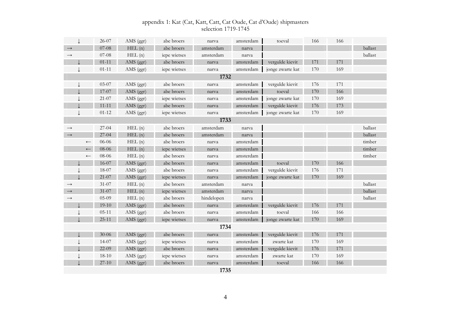|                   | 26-07     | AMS (ggr) | abe broers   | narva      | amsterdam | toeval           | 166 | 166 |         |
|-------------------|-----------|-----------|--------------|------------|-----------|------------------|-----|-----|---------|
| $\longrightarrow$ | $07 - 08$ | HEL(n)    | abe broers   | amsterdam  | narva     |                  |     |     | ballast |
| $\rightarrow$     | $07 - 08$ | HEL(n)    | iepe wietses | amsterdam  | narva     |                  |     |     | ballast |
|                   | $01 - 11$ | AMS (ggr) | abe broers   | narva      | amsterdam | vergulde kievit  | 171 | 171 |         |
|                   | $01 - 11$ | AMS (ggr) | iepe wietses | narva      | amsterdam | jonge zwarte kat | 170 | 169 |         |
|                   |           |           |              | 1732       |           |                  |     |     |         |
|                   | 03-07     | AMS (ggr) | abe broers   | narva      | amsterdam | vergulde kievit  | 176 | 171 |         |
|                   | 17-07     | AMS (ggr) | abe broers   | narva      | amsterdam | toeval           | 170 | 166 |         |
|                   | $21-07$   | AMS (ggr) | iepe wietses | narva      | amsterdam | jonge zwarte kat | 170 | 169 |         |
|                   | $11 - 11$ | AMS (ggr) | abe broers   | narva      | amsterdam | vergulde kievit  | 176 | 173 |         |
|                   | $01 - 12$ | AMS (ggr) | iepe wietses | narva      | amsterdam | jonge zwarte kat | 170 | 169 |         |
|                   |           |           |              | 1733       |           |                  |     |     |         |
| $\rightarrow$     | $27-04$   | HEL(n)    | abe broers   | amsterdam  | narva     |                  |     |     | ballast |
|                   | $27 - 04$ | HEL(n)    | abe broers   | amsterdam  | narva     |                  |     |     | ballast |
| $\longleftarrow$  | 06-06     | HEL(n)    | abe broers   | narva      | amsterdam |                  |     |     | timber  |
| $\longleftarrow$  | 08-06     | HEL(n)    | iepe wietses | narva      | amsterdam |                  |     |     | timber  |
| $\leftarrow$      | 08-06     | HEL(n)    | abe broers   | narva      | amsterdam |                  |     |     | timber  |
|                   | 16-07     | AMS (ggr) | abe broers   | narva      | amsterdam | toeval           | 170 | 166 |         |
|                   | 18-07     | AMS (ggr) | abe broers   | narva      | amsterdam | vergulde kievit  | 176 | 171 |         |
|                   | $21-07$   | AMS (ggr) | iepe wietses | narva      | amsterdam | jonge zwarte kat | 170 | 169 |         |
| $\longrightarrow$ | $31 - 07$ | HEL(n)    | abe broers   | amsterdam  | narva     |                  |     |     | ballast |
| $\rightarrow$     | $31 - 07$ | HEL(n)    | iepe wietses | amsterdam  | narva     |                  |     |     | ballast |
| $\longrightarrow$ | $05-09$   | HEL(n)    | abe broers   | hindelopen | narva     |                  |     |     | ballast |
|                   | $19-10$   | AMS (ggr) | abe broers   | narva      | amsterdam | vergulde kievit  | 176 | 171 |         |
|                   | $05 - 11$ | AMS (ggr) | abe broers   | narva      | amsterdam | toeval           | 166 | 166 |         |
|                   | $25 - 11$ | AMS (ggr) | iepe wietses | narva      | amsterdam | jonge zwarte kat | 170 | 169 |         |
|                   |           |           |              | 1734       |           |                  |     |     |         |
|                   | $30 - 06$ | AMS (ggr) | abe broers   | narva      | amsterdam | vergulde kievit  | 176 | 171 |         |
|                   | $14 - 07$ | AMS (ggr) | iepe wietses | narva      | amsterdam | zwarte kat       | 170 | 169 |         |
|                   | 22-09     | AMS (ggr) | abe broers   | narva      | amsterdam | vergulde kievit  | 176 | 171 |         |
|                   | $18 - 10$ | AMS (ggr) | iepe wietses | narva      | amsterdam | zwarte kat       | 170 | 169 |         |
|                   | $27 - 10$ | AMS (ggr) | abe broers   | narva      | amsterdam | toeval           | 166 | 166 |         |
|                   |           |           |              | 1735       |           |                  |     |     |         |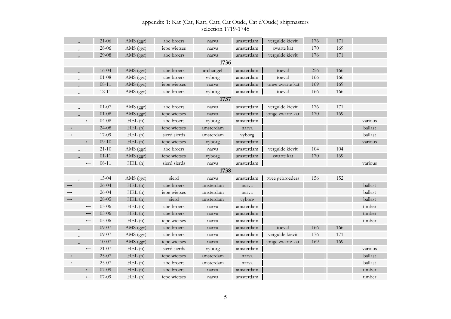|                   |                  | $21 - 06$ | AMS (ggr) | abe broers   | narva     | amsterdam | vergulde kievit  | 176 | 171 |         |
|-------------------|------------------|-----------|-----------|--------------|-----------|-----------|------------------|-----|-----|---------|
|                   |                  | 28-06     | AMS (ggr) | iepe wietses | narva     | amsterdam | zwarte kat       | 170 | 169 |         |
|                   |                  | $29 - 08$ | AMS (ggr) | abe broers   | narva     | amsterdam | vergulde kievit  | 176 | 171 |         |
|                   |                  |           |           |              | 1736      |           |                  |     |     |         |
|                   |                  | 16-04     | AMS (ggr) | abe broers   | archangel | amsterdam | toeval           | 256 | 166 |         |
|                   |                  | $01 - 08$ | AMS (ggr) | abe broers   | vyborg    | amsterdam | toeval           | 166 | 166 |         |
|                   |                  | $08 - 11$ | AMS (ggr) | iepe wietses | narva     | amsterdam | jonge zwarte kat | 169 | 169 |         |
|                   |                  | $12 - 11$ | AMS (ggr) | abe broers   | vyborg    | amsterdam | toeval           | 166 | 166 |         |
|                   |                  |           |           |              | 1737      |           |                  |     |     |         |
|                   |                  | $01 - 07$ | AMS (ggr) | abe broers   | narva     | amsterdam | vergulde kievit  | 176 | 171 |         |
|                   |                  | $01 - 08$ | AMS (ggr) | iepe wietses | narva     | amsterdam | jonge zwarte kat | 170 | 169 |         |
|                   | $\longleftarrow$ | $04 - 08$ | HEL(n)    | abe broers   | vyborg    | amsterdam |                  |     |     | various |
| $\rightarrow$     |                  | $24 - 08$ | HEL(n)    | iepe wietses | amsterdam | narva     |                  |     |     | ballast |
| $\rightarrow$     |                  | 17-09     | HEL(n)    | sierd sierds | amsterdam | vyborg    |                  |     |     | ballast |
|                   | $\longleftarrow$ | $09-10$   | HEL(n)    | iepe wietses | vyborg    | amsterdam |                  |     |     | various |
|                   |                  | $21 - 10$ | AMS (ggr) | abe broers   | narva     | amsterdam | vergulde kievit  | 104 | 104 |         |
|                   |                  | $01 - 11$ | AMS (ggr) | iepe wietses | vyborg    | amsterdam | zwarte kat       | 170 | 169 |         |
|                   | $\longleftarrow$ | $08 - 11$ | HEL(n)    | sierd sierds | narva     | amsterdam |                  |     |     | various |
|                   |                  |           |           |              | 1738      |           |                  |     |     |         |
|                   |                  | $15 - 04$ | AMS (ggr) | sierd        | narva     | amsterdam | twee gebroeders  | 156 | 152 |         |
| $\rightarrow$     |                  | $26 - 04$ | HEL(n)    | abe broers   | amsterdam | narva     |                  |     |     | ballast |
| $\rightarrow$     |                  | $26 - 04$ | HEL(n)    | iepe wietses | amsterdam | narva     |                  |     |     | ballast |
| $\longrightarrow$ |                  | $28 - 05$ | HEL(n)    | sierd        | amsterdam | vyborg    |                  |     |     | ballast |
|                   | $\leftarrow$     | 03-06     | HEL(n)    | abe broers   | narva     | amsterdam |                  |     |     | timber  |
|                   | $\leftarrow$     | 05-06     | HEL(n)    | abe broers   | narva     | amsterdam |                  |     |     | timber  |
|                   | $\longleftarrow$ | 05-06     | HEL(n)    | iepe wietses | narva     | amsterdam |                  |     |     | timber  |
|                   |                  | 09-07     | AMS (ggr) | abe broers   | narva     | amsterdam | toeval           | 166 | 166 |         |
|                   |                  | 09-07     | AMS (ggr) | abe broers   | narva     | amsterdam | vergulde kievit  | 176 | 171 |         |
|                   |                  | $10 - 07$ | AMS (ggr) | iepe wietses | narva     | amsterdam | jonge zwarte kat | 169 | 169 |         |
|                   | $\leftarrow$     | $21-07$   | HEL(n)    | sierd sierds | vyborg    | amsterdam |                  |     |     | various |
| $\rightarrow$     |                  | 25-07     | HEL(n)    | iepe wietses | amsterdam | narva     |                  |     |     | ballast |
| $\rightarrow$     |                  | 25-07     | HEL(n)    | abe broers   | amsterdam | narva     |                  |     |     | ballast |
|                   | $\leftarrow$     | 07-09     | HEL(n)    | abe broers   | narva     | amsterdam |                  |     |     | timber  |
|                   | $\leftarrow$     | $07-09$   | HEL(n)    | iepe wietses | narva     | amsterdam |                  |     |     | timber  |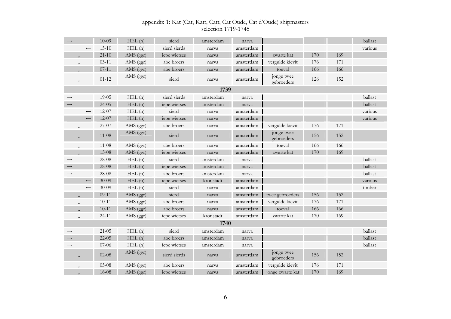| $\rightarrow$     |                  | $10 - 09$ | HEL(n)    | sierd        | amsterdam | narva     |                          |     |     | ballast |
|-------------------|------------------|-----------|-----------|--------------|-----------|-----------|--------------------------|-----|-----|---------|
|                   | $\leftarrow$     | $15 - 10$ | HEL(n)    | sierd sierds | narva     | amsterdam |                          |     |     | various |
|                   |                  | $21 - 10$ | AMS (ggr) | iepe wietses | narva     | amsterdam | zwarte kat               | 170 | 169 |         |
|                   |                  | $03 - 11$ | AMS (ggr) | abe broers   | narva     | amsterdam | vergulde kievit          | 176 | 171 |         |
|                   |                  | $07 - 11$ | AMS (ggr) | abe broers   | narva     | amsterdam | toeval                   | 166 | 166 |         |
|                   | ↓                | $01 - 12$ | AMS (ggr) | sierd        | narva     | amsterdam | jonge twee<br>gebroeders | 126 | 152 |         |
|                   |                  |           |           |              | 1739      |           |                          |     |     |         |
| $\rightarrow$     |                  | $19 - 05$ | HEL(n)    | sierd sierds | amsterdam | narva     |                          |     |     | ballast |
| $\rightarrow$     |                  | $24 - 05$ | HEL(n)    | iepe wietses | amsterdam | narva     |                          |     |     | ballast |
|                   | $\longleftarrow$ | $12 - 07$ | HEL(n)    | sierd        | narva     | amsterdam |                          |     |     | various |
|                   | $\leftarrow$     | 12-07     | HEL(n)    | iepe wietses | narva     | amsterdam |                          |     |     | various |
|                   |                  | 27-07     | AMS (ggr) | abe broers   | narva     | amsterdam | vergulde kievit          | 176 | 171 |         |
|                   | J                | $11 - 08$ | AMS (ggr) | sierd        | narva     | amsterdam | jonge twee<br>gebroeders | 156 | 152 |         |
|                   |                  | $11-08$   | AMS (ggr) | abe broers   | narva     | amsterdam | toeval                   | 166 | 166 |         |
|                   |                  | $13 - 08$ | AMS (ggr) | iepe wietses | narva     | amsterdam | zwarte kat               | 170 | 169 |         |
| $\longrightarrow$ |                  | 28-08     | HEL(n)    | sierd        | amsterdam | narva     |                          |     |     | ballast |
| $\rightarrow$     |                  | 28-08     | HEL(n)    | iepe wietses | amsterdam | narva     |                          |     |     | ballast |
| $\rightarrow$     |                  | 28-08     | HEL(n)    | abe broers   | amsterdam | narva     |                          |     |     | ballast |
|                   | $\leftarrow$     | $30 - 09$ | HEL(n)    | iepe wietses | kronstadt | amsterdam |                          |     |     | various |
|                   | $\longleftarrow$ | $30 - 09$ | HEL(n)    | sierd        | narva     | amsterdam |                          |     |     | timber  |
|                   |                  | $09-11$   | AMS (ggr) | sierd        | narva     | amsterdam | twee gebroeders          | 156 | 152 |         |
|                   |                  | $10 - 11$ | AMS (ggr) | abe broers   | narva     | amsterdam | vergulde kievit          | 176 | 171 |         |
|                   |                  | $10 - 11$ | AMS (ggr) | abe broers   | narva     | amsterdam | toeval                   | 166 | 166 |         |
|                   |                  | $24 - 11$ | AMS (ggr) | iepe wietses | kronstadt | amsterdam | zwarte kat               | 170 | 169 |         |
|                   |                  |           |           |              | 1740      |           |                          |     |     |         |
| $\rightarrow$     |                  | $21 - 05$ | HEL(n)    | sierd        | amsterdam | narva     |                          |     |     | ballast |
| $\longrightarrow$ |                  | $22 - 05$ | HEL(n)    | abe broers   | amsterdam | narva     |                          |     |     | ballast |
| $\rightarrow$     |                  | $07-06$   | HEL(n)    | iepe wietses | amsterdam | narva     |                          |     |     | ballast |
|                   |                  | $02 - 08$ | AMS (ggr) | sierd sierds | narva     | amsterdam | jonge twee<br>gebroeders | 156 | 152 |         |
|                   |                  | $05-08$   | AMS (ggr) | abe broers   | narva     | amsterdam | vergulde kievit          | 176 | 171 |         |
|                   |                  | 16-08     | AMS (ggr) | iepe wietses | narva     | amsterdam | jonge zwarte kat         | 170 | 169 |         |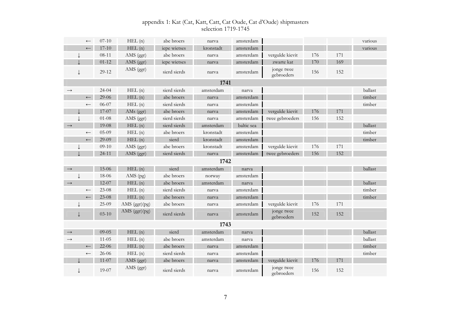|                   | $\leftarrow$     | $07 - 10$ | HEL(n)          | abe broers   | narva     | amsterdam  |                          |     |     | various |
|-------------------|------------------|-----------|-----------------|--------------|-----------|------------|--------------------------|-----|-----|---------|
|                   | $\leftarrow$     | $17 - 10$ | HEL(n)          | iepe wietses | kronstadt | amsterdam  |                          |     |     | various |
|                   |                  | $08 - 11$ | AMS (ggr)       | abe broers   | narva     | amsterdam  | vergulde kievit          | 176 | 171 |         |
|                   |                  | $01 - 12$ | AMS (ggr)       | iepe wietses | narva     | amsterdam  | zwarte kat               | 170 | 169 |         |
|                   |                  | 29-12     | AMS (ggr)       | sierd sierds | narva     | amsterdam  | jonge twee<br>gebroeders | 156 | 152 |         |
|                   |                  |           |                 |              | 1741      |            |                          |     |     |         |
| $\rightarrow$     |                  | $24 - 04$ | HEL(n)          | sierd sierds | amsterdam | narva      |                          |     |     | ballast |
|                   | $\leftarrow$     | $29 - 06$ | HEL(n)          | abe broers   | narva     | amsterdam  |                          |     |     | timber  |
|                   | $\longleftarrow$ | 06-07     | HEL(n)          | sierd sierds | narva     | amsterdam  |                          |     |     | timber  |
|                   |                  | 17-07     | AMs (ggr)       | abe broers   | narva     | amsterdam  | vergulde kievit          | 176 | 171 |         |
|                   |                  | $01 - 08$ | AMS (ggr)       | sierd sierds | narva     | amsterdam  | twee gebroeders          | 156 | 152 |         |
| $\longrightarrow$ |                  | 19-08     | HEL(n)          | sierd sierds | amsterdam | baltic sea |                          |     |     | ballast |
|                   | $\longleftarrow$ | $05-09$   | HEL(n)          | abe broers   | kronstadt | amsterdam  |                          |     |     | timber  |
|                   | $\longleftarrow$ | 29-09     | HEL(n)          | sierd        | kronstadt | amsterdam  |                          |     |     | timber  |
|                   |                  | $09-10$   | AMS (ggr)       | abe broers   | kronstadt | amsterdam  | vergulde kievit          | 176 | 171 |         |
|                   |                  | $24 - 11$ | AMS (ggr)       | sierd sierds | narva     | amsterdam  | twee gebroeders          | 156 | 152 |         |
|                   |                  |           |                 |              | 1742      |            |                          |     |     |         |
| $\rightarrow$     |                  | $15-06$   | HEL(n)          | sierd        | amsterdam | narva      |                          |     |     | ballast |
|                   |                  | 18-06     | AMS (pg)        | abe broers   | norway    | amsterdam  |                          |     |     |         |
| $\longrightarrow$ |                  | $12 - 07$ | HEL(n)          | abe broers   | amsterdam | narva      |                          |     |     | ballast |
|                   | $\longleftarrow$ | $23 - 08$ | HEL(n)          | sierd sierds | narva     | amsterdam  |                          |     |     | timber  |
|                   | $\leftarrow$     | $23 - 08$ | HEL(n)          | abe broers   | narva     | amsterdam  |                          |     |     | timber  |
|                   |                  | 25-09     | AMS $(ggr)(pg)$ | abe broers   | narva     | amsterdam  | vergulde kievit          | 176 | 171 |         |
|                   | J                | $03 - 10$ | AMS (ggr)(pg)   | sierd sierds | narva     | amsterdam  | jonge twee<br>gebroeders | 152 | 152 |         |
|                   |                  |           |                 |              | 1743      |            |                          |     |     |         |
| $\rightarrow$     |                  | $09 - 05$ | HEL(n)          | sierd        | amsterdam | narva      |                          |     |     | ballast |
| $\rightarrow$     |                  | $11 - 05$ | HEL(n)          | abe broers   | amsterdam | narva      |                          |     |     | ballast |
|                   | $\leftarrow$     | $22 - 06$ | HEL (n)         | abe broers   | narva     | amsterdam  |                          |     |     | timber  |
|                   | $\longleftarrow$ | 26-06     | HEL(n)          | sierd sierds | narva     | amsterdam  |                          |     |     | timber  |
|                   |                  | $11 - 07$ | AMS (ggr)       | abe broers   | narva     | amsterdam  | vergulde kievit          | 176 | 171 |         |
|                   |                  | 19-07     | AMS (ggr)       | sierd sierds | narva     | amsterdam  | jonge twee<br>gebroeders | 156 | 152 |         |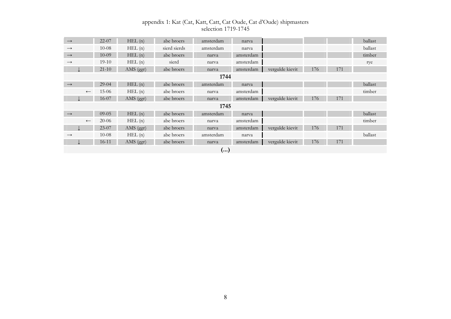| $\longrightarrow$ |              | $22 - 07$ | HEL(n)    | abe broers   | amsterdam | narva     |                 |     |     | ballast |
|-------------------|--------------|-----------|-----------|--------------|-----------|-----------|-----------------|-----|-----|---------|
| $\rightarrow$     |              | $10 - 08$ | HEL(n)    | sierd sierds | amsterdam | narva     |                 |     |     | ballast |
| $\longrightarrow$ |              | $10-09$   | HEL(n)    | abe broers   | narva     | amsterdam |                 |     |     | timber  |
| $\rightarrow$     |              | $19-10$   | HEL(n)    | sierd        | narva     | amsterdam |                 |     |     | rye     |
|                   |              | $21 - 10$ | AMS (ggr) | abe broers   | narva     | amsterdam | vergulde kievit | 176 | 171 |         |
|                   |              |           |           |              | 1744      |           |                 |     |     |         |
| $\longrightarrow$ |              | $29-04$   | HEL(n)    | abe broers   | amsterdam | narva     |                 |     |     | ballast |
|                   | $\leftarrow$ | $15-06$   | HEL(n)    | abe broers   | narva     | amsterdam |                 |     |     | timber  |
|                   |              | $16-07$   | AMS (ggr) | abe broers   | narva     | amsterdam | vergulde kievit | 176 | 171 |         |
|                   |              |           |           |              | 1745      |           |                 |     |     |         |
| $\longrightarrow$ |              | $09 - 05$ | HEL(n)    | abe broers   | amsterdam | narva     |                 |     |     | ballast |
|                   | $\leftarrow$ | $20-06$   | HEL(n)    | abe broers   | narva     | amsterdam |                 |     |     | timber  |
|                   |              | 23-07     | AMS (ggr) | abe broers   | narva     | amsterdam | vergulde kievit | 176 | 171 |         |
| $\rightarrow$     |              | $10 - 08$ | HEL(n)    | abe broers   | amsterdam | narva     |                 |     |     | ballast |
|                   |              | $16 - 11$ | AMS (ggr) | abe broers   | narva     | amsterdam | vergulde kievit | 176 | 171 |         |
|                   | ()           |           |           |              |           |           |                 |     |     |         |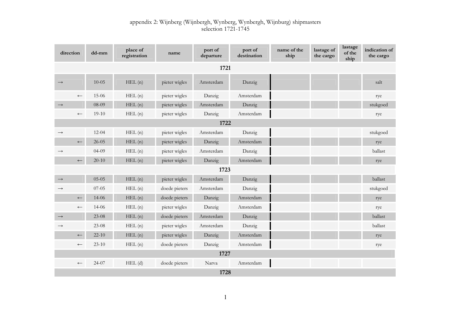| direction         |                  | $dd - mm$ | place of<br>registration | name          | port of<br>departure | port of<br>destination | name of the<br>ship | lastage of<br>the cargo | lastage<br>of the<br>ship | indication of<br>the cargo |
|-------------------|------------------|-----------|--------------------------|---------------|----------------------|------------------------|---------------------|-------------------------|---------------------------|----------------------------|
|                   | 1721             |           |                          |               |                      |                        |                     |                         |                           |                            |
| $\rightarrow$     |                  | $10 - 05$ | HEL(n)                   | pieter wigles | Amsterdam            | Danzig                 |                     |                         |                           | salt                       |
|                   | $\longleftarrow$ | $15-06$   | HEL(n)                   | pieter wigles | Danzig               | Amsterdam              |                     |                         |                           | rye                        |
| $\longrightarrow$ |                  | 08-09     | HEL(n)                   | pieter wigles | Amsterdam            | Danzig                 |                     |                         |                           | stukgoed                   |
|                   | $\leftarrow$     | $19-10$   | HEL(n)                   | pieter wigles | Danzig               | Amsterdam              |                     |                         |                           | rye                        |
|                   |                  |           |                          |               | 1722                 |                        |                     |                         |                           |                            |
| $\rightarrow$     |                  | $12 - 04$ | HEL(n)                   | pieter wigles | Amsterdam            | Danzig                 |                     |                         |                           | stukgoed                   |
|                   | $\longleftarrow$ | $26 - 05$ | HEL(n)                   | pieter wigles | Danzig               | Amsterdam              |                     |                         |                           | rye                        |
| $\longrightarrow$ |                  | $04-09$   | HEL(n)                   | pieter wigles | Amsterdam            | Danzig                 |                     |                         |                           | ballast                    |
|                   | $\longleftarrow$ | $20 - 10$ | HEL(n)                   | pieter wigles | Danzig               | Amsterdam              |                     |                         |                           | rye                        |
|                   |                  |           |                          |               | 1723                 |                        |                     |                         |                           |                            |
| $\longrightarrow$ |                  | $05-05$   | HEL(n)                   | pieter wigles | Amsterdam            | Danzig                 |                     |                         |                           | ballast                    |
| $\rightarrow$     |                  | $07-05$   | HEL(n)                   | doede pieters | Amsterdam            | Danzig                 |                     |                         |                           | stukgoed                   |
|                   | $\longleftarrow$ | 14-06     | HEL(n)                   | doede pieters | Danzig               | Amsterdam              |                     |                         |                           | rye                        |
|                   | $\leftarrow$     | $14 - 06$ | HEL(n)                   | pieter wigles | Danzig               | Amsterdam              |                     |                         |                           | rye                        |
| $\longrightarrow$ |                  | $23-08$   | HEL(n)                   | doede pieters | Amsterdam            | Danzig                 |                     |                         |                           | ballast                    |
| $\rightarrow$     |                  | $23-08$   | HEL(n)                   | pieter wigles | Amsterdam            | Danzig                 |                     |                         |                           | ballast                    |
|                   | $\longleftarrow$ | $22 - 10$ | HEL(n)                   | pieter wigles | Danzig               | Amsterdam              |                     |                         |                           | rye                        |
|                   | $\leftarrow$     | $23-10$   | HEL(n)                   | doede pieters | Danzig               | Amsterdam              |                     |                         |                           | rye                        |
|                   |                  |           |                          |               | 1727                 |                        |                     |                         |                           |                            |
|                   | $\longleftarrow$ | $24 - 07$ | $HEL$ (d)                | doede pieters | Narva                | Amsterdam              |                     |                         |                           |                            |
|                   | 1728             |           |                          |               |                      |                        |                     |                         |                           |                            |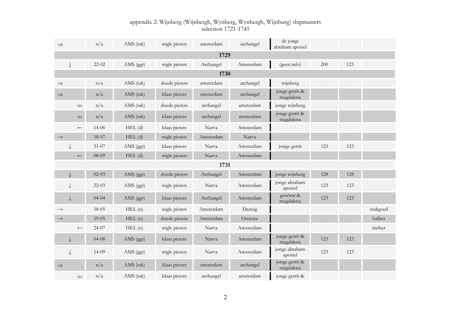| $\Rightarrow$     | n/a       | AMS (rak)   | wigle pieters | amsterdam | archangel | de jonge<br>abraham apostel |     |     |          |
|-------------------|-----------|-------------|---------------|-----------|-----------|-----------------------------|-----|-----|----------|
|                   |           |             |               | 1729      |           |                             |     |     |          |
| ↓                 | $22 - 02$ | AMS (ggr)   | wigle pieters | Archangel | Amsterdam | (geen info)                 | 200 | 123 |          |
|                   |           |             |               | 1730      |           |                             |     |     |          |
| $\Rightarrow$     | n/a       | AMS (rak)   | doede pieters | amsterdam | archangel | wijnberg                    |     |     |          |
| $\Rightarrow$     | n/a       | AMS (rak)   | klaas pieters | amsterdam | archangel | jonge gerrit &<br>magdalena |     |     |          |
| $\Leftarrow$      | n/a       | AMS (rak)   | doede pieters | archangel | amsterdam | jonge wijnberg              |     |     |          |
| $\Leftarrow$      | n/a       | AMS (rak)   | klaas pieters | archangel | amsterdam | jonge gerrit &<br>magdalena |     |     |          |
| $\leftarrow$      | $14 - 06$ | $HEL$ (d)   | klaas pieters | Narva     | Amsterdam |                             |     |     |          |
| $\longrightarrow$ | 18-07     | $HEL$ (d)   | wigle pieters | Amsterdam | Narva     |                             |     |     |          |
|                   | $31-07$   | AMS (ggr)   | klaas pieters | Narva     | Amsterdam | jonge gerrit                | 123 | 123 |          |
| $\leftarrow$      | 08-09     | $HEL$ $(d)$ | wigle pieters | Narva     | Amsterdam |                             |     |     |          |
|                   |           |             |               | 1731      |           |                             |     |     |          |
|                   | $02-03$   | AMS (ggr)   | doede pieters | Archangel | Amsterdam | jonge wijnberg              | 128 | 128 |          |
|                   | $22-03$   | AMS (ggr)   | wigle pieters | Narva     | Amsterdam | jonge abraham<br>apostel    | 123 | 123 |          |
|                   | $04 - 04$ | AMS (ggr)   | klaas pieters | Archangel | Amsterdam | geertrui &<br>magdalena     | 123 | 123 |          |
| $\rightarrow$     | $18 - 05$ | HEL(n)      | wigle pieters | Amsterdam | Danzig    |                             |     |     | stukgoed |
| $\rightarrow$     | $19-05$   | HEL(n)      | doede pieters | Amsterdam | Oostzee   |                             |     |     | ballast  |
| $\longleftarrow$  | $24 - 07$ | HEL(n)      | wigle pieters | Narva     | Amsterdam |                             |     |     | timber   |
| ↓                 | $04-08$   | AMS (ggr)   | klaas pieters | Narva     | Amsterdam | jonge gerrit &<br>magdalena | 123 | 123 |          |
| ↓                 | $14 - 09$ | AMS (ggr)   | wigle pieters | Narva     | Amsterdam | jonge abraham<br>apostel    | 123 | 123 |          |
| $\Rightarrow$     | n/a       | AMS (rak)   | klaas pieters | amsterdam | archangel | jonge gerrit &<br>magdalena |     |     |          |
| $\leftarrow$      | n/a       | AMS (rak)   | klaas pieters | archangel | amsterdam | jonge gerrit &              |     |     |          |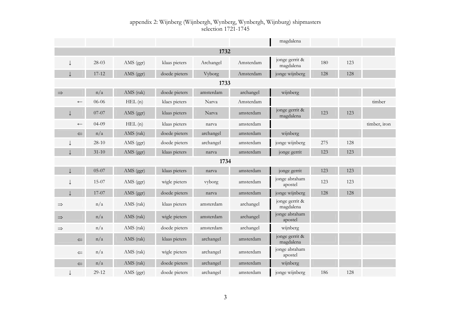|               |                  |           |             |               |           |           | magdalena                   |     |     |              |
|---------------|------------------|-----------|-------------|---------------|-----------|-----------|-----------------------------|-----|-----|--------------|
|               |                  |           |             |               | 1732      |           |                             |     |     |              |
|               |                  | 28-03     | AMS (ggr)   | klaas pieters | Archangel | Amsterdam | jonge gerrit &<br>magdalena | 180 | 123 |              |
|               |                  | $17 - 12$ | AMS (ggr)   | doede pieters | Vyborg    | Amsterdam | jonge wijnberg              | 128 | 128 |              |
|               |                  |           |             |               | 1733      |           |                             |     |     |              |
| $\Rightarrow$ |                  | n/a       | AMS (rak)   | doede pieters | amsterdam | archangel | wijnberg                    |     |     |              |
|               | $\leftarrow$     | 06-06     | HEL(n)      | klaes pieters | Narva     | Amsterdam |                             |     |     | timber       |
|               |                  | $07 - 07$ | AMS (ggr)   | klaas pieters | Narva     | amsterdam | jonge gerrit &<br>magdalena | 123 | 123 |              |
|               | $\longleftarrow$ | $04-09$   | HEL(n)      | klaas pieters | narva     | amsterdam |                             |     |     | timber, iron |
|               | $\leftarrow$     | n/a       | AMS (rak)   | doede pieters | archangel | amsterdam | wijnberg                    |     |     |              |
|               |                  | $28-10$   | AMS (ggr)   | doede pieters | archangel | amsterdam | jonge wijnberg              | 275 | 128 |              |
|               |                  | $31 - 10$ | AMS (ggr)   | klaas pieters | narva     | amsterdam | jonge gerrit                | 123 | 123 |              |
|               |                  |           |             |               | 1734      |           |                             |     |     |              |
|               |                  | 05-07     | AMS (ggr)   | klaas pieters | narva     | amsterdam | jonge gerrit                | 123 | 123 |              |
|               |                  | $15-07$   | AMS (ggr)   | wigle pieters | vyborg    | amsterdam | jonge abraham<br>apostel    | 123 | 123 |              |
|               |                  | 17-07     | AMS $(ggr)$ | doede pieters | narva     | amsterdam | jonge wijnberg              | 128 | 128 |              |
| $\Rightarrow$ |                  | n/a       | AMS (rak)   | klaas pieters | amsterdam | archangel | jonge gerrit &<br>magdalena |     |     |              |
| $\Rightarrow$ |                  | n/a       | AMS (rak)   | wigle pieters | amsterdam | archangel | jonge abraham<br>apostel    |     |     |              |
| $\Rightarrow$ |                  | n/a       | AMS (rak)   | doede pieters | amsterdam | archangel | wijnberg                    |     |     |              |
|               | $\leftarrow$     | n/a       | AMS (rak)   | klaas pieters | archangel | amsterdam | jonge gerrit &<br>magdalena |     |     |              |
|               | $\Leftarrow$     | n/a       | AMS (rak)   | wigle pieters | archangel | amsterdam | jonge abraham<br>apostel    |     |     |              |
|               | $\leftarrow$     | n/a       | AMS (rak)   | doede pieters | archangel | amsterdam | wijnberg                    |     |     |              |
|               |                  | 29-12     | AMS (ggr)   | doede pieters | archangel | amsterdam | jonge wijnberg              | 186 | 128 |              |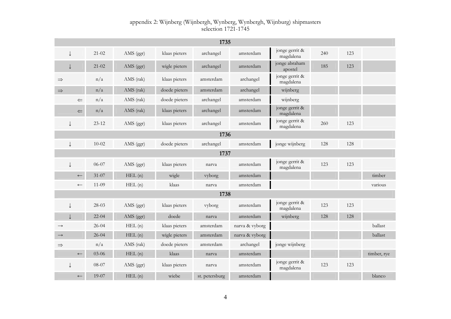|               |              |           |           |               | 1735           |                |                             |     |     |             |
|---------------|--------------|-----------|-----------|---------------|----------------|----------------|-----------------------------|-----|-----|-------------|
|               |              | $21 - 02$ | AMS (ggr) | klaas pieters | archangel      | amsterdam      | jonge gerrit &<br>magdalena | 240 | 123 |             |
|               |              | $21 - 02$ | AMS (ggr) | wigle pieters | archangel      | amsterdam      | jonge abraham<br>apostel    | 185 | 123 |             |
| $\Rightarrow$ |              | n/a       | AMS (rak) | klaas pieters | amsterdam      | archangel      | jonge gerrit &<br>magdalena |     |     |             |
| $\Rightarrow$ |              | n/a       | AMS (rak) | doede pieters | amsterdam      | archangel      | wijnberg                    |     |     |             |
|               | $\leftarrow$ | n/a       | AMS (rak) | doede pieters | archangel      | amsterdam      | wijnberg                    |     |     |             |
|               | $\Leftarrow$ | n/a       | AMS (rak) | klaas pieters | archangel      | amsterdam      | jonge gerrit &<br>magdalena |     |     |             |
|               | $\downarrow$ | $23 - 12$ | AMS (ggr) | klaas pieters | archangel      | amsterdam      | jonge gerrit &<br>magdalena | 260 | 123 |             |
|               |              |           |           |               | 1736           |                |                             |     |     |             |
|               | ↓            | $10 - 02$ | AMS (ggr) | doede pieters | archangel      | amsterdam      | jonge wijnberg              | 128 | 128 |             |
|               |              |           |           |               | 1737           |                |                             |     |     |             |
|               |              | 06-07     | AMS (ggr) | klaas pieters | narva          | amsterdam      | jonge gerrit &<br>magdalena | 123 | 123 |             |
|               | $\leftarrow$ | $31 - 07$ | HEL(n)    | wigle         | vyborg         | amsterdam      |                             |     |     | timber      |
|               | $\leftarrow$ | $11 - 09$ | HEL(n)    | klaas         | narva          | amsterdam      |                             |     |     | various     |
|               |              |           |           |               | 1738           |                |                             |     |     |             |
|               | ↓            | 28-03     | AMS (ggr) | klaas pieters | vyborg         | amsterdam      | jonge gerrit &<br>magdalena | 123 | 123 |             |
|               |              | $22 - 04$ | AMS (ggr) | doede         | narva          | amsterdam      | wijnberg                    | 128 | 128 |             |
| $\rightarrow$ |              | $26 - 04$ | HEL(n)    | klaas pieters | amsterdam      | narva & vyborg |                             |     |     | ballast     |
| $\rightarrow$ |              | $26 - 04$ | HEL(n)    | wigle pieters | amsterdam      | narva & vyborg |                             |     |     | ballast     |
| $\Rightarrow$ |              | n/a       | AMS (rak) | doede pieters | amsterdam      | archangel      | jonge wijnberg              |     |     |             |
|               | $\leftarrow$ | 03-06     | HEL(n)    | klaas         | narva          | amsterdam      |                             |     |     | timber, rye |
|               |              | 08-07     | AMS (ggr) | klaas pieters | narva          | amsterdam      | jonge gerrit &<br>magdalena | 123 | 123 |             |
|               | $\leftarrow$ | $19-07$   | HEL(n)    | wiebe         | st. petersburg | amsterdam      |                             |     |     | blanco      |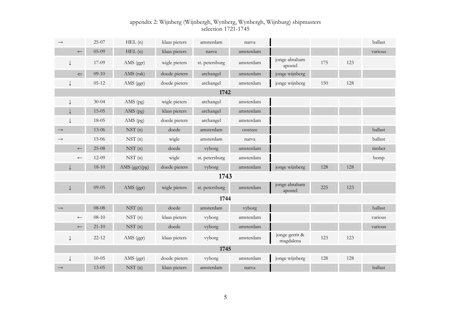| $\rightarrow$    | $25-07$                 | HEL(n)             | klaas pieters | amsterdam      | narva     |                             |     |     | ballast |
|------------------|-------------------------|--------------------|---------------|----------------|-----------|-----------------------------|-----|-----|---------|
| $\leftarrow$     | $05-09$                 | HEL(n)             | klaas pieters | narva          | amsterdam |                             |     |     | various |
|                  | 17-09                   | AMS (ggr)          | wigle pieters | st. petersburg | amsterdam | jonge abraham<br>apostel    | 175 | 123 |         |
|                  | $09-10$<br>$\leftarrow$ | AMS (rak)          | doede pieters | archangel      | amsterdam | jonge wijnberg              |     |     |         |
|                  | $05 - 12$               | AMS (ggr)          | doede pieters | archangel      | amsterdam | jonge wijnberg              | 150 | 128 |         |
|                  |                         |                    |               | 1742           |           |                             |     |     |         |
|                  | $30 - 04$               | AMS (pg)           | wigle pieters | archangel      | amsterdam |                             |     |     |         |
|                  | $15 - 05$               | AMS (pg)           | klaas pieters | archangel      | amsterdam |                             |     |     |         |
|                  | 18-05                   | AMS $(pg)$         | doede pieters | archangel      | amsterdam |                             |     |     |         |
| $\rightarrow$    | 13-06                   | NST(n)             | doede         | amsterdam      | oostzee   |                             |     |     | ballast |
|                  | 15-06                   | NST(n)             | wigle         | amsterdam      | narva     |                             |     |     | ballast |
| $\longleftarrow$ | $25-08$                 | NST(n)             | doede         | vyborg         | amsterdam |                             |     |     | timber  |
| $\longleftarrow$ | $12-09$                 | NST <sub>(n)</sub> | wigle         | st. petersburg | amsterdam |                             |     |     | hemp    |
|                  | $18-10$                 | AMS (ggr)(pg)      | doede pieters | vyborg         | amsterdam | jonge wijnberg              | 128 | 128 |         |
|                  |                         |                    |               | 1743           |           |                             |     |     |         |
| J                | $09 - 05$               | AMS (ggr)          | wigle pieters | st. petersburg | amsterdam | jonge abraham<br>apostel    | 225 | 123 |         |
|                  |                         |                    |               | 1744           |           |                             |     |     |         |
| $\rightarrow$    | 08-08                   | NST(n)             | doede         | amsterdam      | vyborg    |                             |     |     | ballast |
| $\longleftarrow$ | $08 - 10$               | $NSTn$ (n)         | klaas pieters | vyborg         | amsterdam |                             |     |     | various |
| $\longleftarrow$ | $21 - 10$               | NST(n)             | doede         | vyborg         | amsterdam |                             |     |     | various |
| T                | $22 - 12$               | AMS (ggr)          | klaas pieters | vyborg         | amsterdam | jonge gerrit &<br>magdalena | 123 | 123 |         |
|                  |                         |                    |               | 1745           |           |                             |     |     |         |
|                  | $10 - 05$               | AMS (ggr)          | doede pieters | vyborg         | amsterdam | jonge wijnberg              | 128 | 128 |         |
| $\rightarrow$    | $13 - 05$               | NST(n)             | klaas pieters | amsterdam      | narva     |                             |     |     | ballast |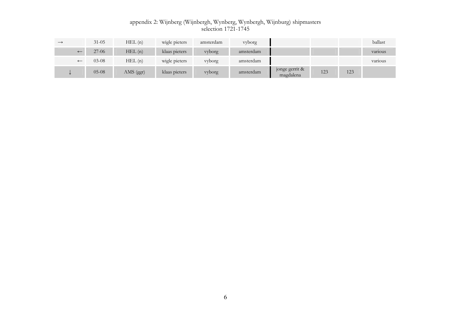| $\longrightarrow$        | $31 - 05$ | HEL(n)    | wigle pieters | amsterdam | yyborg    |                             |     |     | ballast |
|--------------------------|-----------|-----------|---------------|-----------|-----------|-----------------------------|-----|-----|---------|
| $\leftarrow$             | $27-06$   | HEL(n)    | klaas pieters | yyborg    | amsterdam |                             |     |     | various |
| $\overline{\phantom{m}}$ | $03-08$   | HEL(n)    | wigle pieters | vyborg    | amsterdam |                             |     |     | various |
|                          | $05-08$   | AMS (ggr) | klaas pieters | vyborg    | amsterdam | jonge gerrit &<br>magdalena | 123 | 123 |         |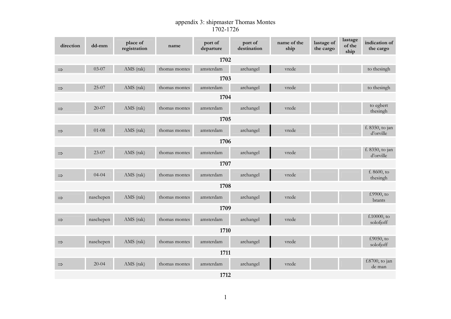#### appendix 3: shipmaster Thomas Montes 1702-1726

| direction     | dd-mm     | place of<br>registration | name          | port of<br>departure | port of<br>destination | name of the<br>ship | lastage of<br>the cargo | lastage<br>of the<br>ship | indication of<br>the cargo   |
|---------------|-----------|--------------------------|---------------|----------------------|------------------------|---------------------|-------------------------|---------------------------|------------------------------|
|               |           |                          |               | 1702                 |                        |                     |                         |                           |                              |
| $\Rightarrow$ | 03-07     | AMS (rak)                | thomas montes | amsterdam            | archangel              | vrede               |                         |                           | to the singh                 |
|               |           |                          |               | 1703                 |                        |                     |                         |                           |                              |
| $\Rightarrow$ | 25-07     | AMS (rak)                | thomas montes | amsterdam            | archangel              | vrede               |                         |                           | to the singh                 |
|               | 1704      |                          |               |                      |                        |                     |                         |                           |                              |
| $\Rightarrow$ | $20 - 07$ | AMS (rak)                | thomas montes | amsterdam            | archangel              | vrede               |                         |                           | to egbert<br>thesingh        |
|               | 1705      |                          |               |                      |                        |                     |                         |                           |                              |
| $\Rightarrow$ | $01-08$   | AMS (rak)                | thomas montes | amsterdam            | archangel              | vrede               |                         |                           | f. 8350, to jan<br>d'orville |
|               |           |                          |               | 1706                 |                        |                     |                         |                           |                              |
| $\Rightarrow$ | $23-07$   | AMS (rak)                | thomas montes | amsterdam            | archangel              | vrede               |                         |                           | f. 8350, to jan<br>d'orville |
|               |           |                          |               | 1707                 |                        |                     |                         |                           |                              |
| $\Rightarrow$ | $04 - 04$ | AMS (rak)                | thomas montes | amsterdam            | archangel              | vrede               |                         |                           | f. 8600, to<br>thesingh      |
|               |           |                          |               | 1708                 |                        |                     |                         |                           |                              |
| $\Rightarrow$ | naschepen | AMS (rak)                | thomas montes | amsterdam            | archangel              | vrede               |                         |                           | $f.9900,$ to<br>brants       |
|               |           |                          |               | 1709                 |                        |                     |                         |                           |                              |
| $\Rightarrow$ | naschepen | AMS (rak)                | thomas montes | amsterdam            | archangel              | vrede               |                         |                           | f.10000, to<br>solofjoff     |
|               |           |                          |               | 1710                 |                        |                     |                         |                           |                              |
| $\Rightarrow$ | naschepen | AMS (rak)                | thomas montes | amsterdam            | archangel              | vrede               |                         |                           | $f.9050$ , to<br>solofjoff   |
|               | 1711      |                          |               |                      |                        |                     |                         |                           |                              |
| $\Rightarrow$ | $20-04$   | AMS (rak)                | thomas montes | amsterdam            | archangel              | vrede               |                         |                           | $f.8700$ , to jan<br>de man  |
|               |           |                          |               | 1712                 |                        |                     |                         |                           |                              |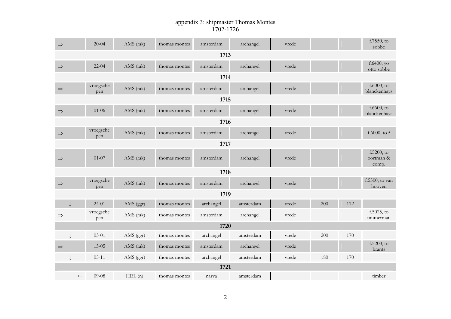### appendix 3: shipmaster Thomas Montes 1702-1726

| $\Rightarrow$    | $20 - 04$        | AMS (rak) | thomas montes | amsterdam | archangel | vrede |     |     | $f.7550$ , to<br>sobbe              |
|------------------|------------------|-----------|---------------|-----------|-----------|-------|-----|-----|-------------------------------------|
|                  |                  |           |               | 1713      |           |       |     |     |                                     |
| $\Rightarrow$    | $22 - 04$        | AMS (rak) | thomas montes | amsterdam | archangel | vrede |     |     | $f.6400$ , yo<br>otto sobbe         |
|                  |                  |           |               | 1714      |           |       |     |     |                                     |
| $\Rightarrow$    | vroegsche<br>pen | AMS (rak) | thomas montes | amsterdam | archangel | vrede |     |     | $f.6000$ , to<br>blanckenhays       |
|                  | 1715             |           |               |           |           |       |     |     |                                     |
| $\Rightarrow$    | $01 - 06$        | AMS (rak) | thomas montes | amsterdam | archangel | vrede |     |     | $f.6600$ , to<br>blanckenhays       |
|                  |                  |           |               | 1716      |           |       |     |     |                                     |
| $\Rightarrow$    | vroegsche<br>pen | AMS (rak) | thomas montes | amsterdam | archangel | vrede |     |     | f.6000, to?                         |
|                  |                  |           |               | 1717      |           |       |     |     |                                     |
| $\Rightarrow$    | $01 - 07$        | AMS (rak) | thomas montes | amsterdam | archangel | vrede |     |     | $f.5200$ , to<br>oortman &<br>comp. |
|                  |                  |           |               | 1718      |           |       |     |     |                                     |
| $\Rightarrow$    | vroegsche<br>pen | AMS (rak) | thomas montes | amsterdam | archangel | vrede |     |     | f.5500, to van<br>hooven            |
|                  |                  |           |               | 1719      |           |       |     |     |                                     |
|                  | $24 - 01$        | AMS (ggr) | thomas montes | archangel | amsterdam | vrede | 200 | 172 |                                     |
| $\Rightarrow$    | vroegsche<br>pen | AMS (rak) | thomas montes | amsterdam | archangel | vrede |     |     | $f.5025$ , to<br>timmerman          |
|                  |                  |           |               | 1720      |           |       |     |     |                                     |
|                  | $03 - 01$        | AMS (ggr) | thomas montes | archangel | amsterdam | vrede | 200 | 170 |                                     |
| $\Rightarrow$    | $15 - 05$        | AMS (rak) | thomas montes | amsterdam | archangel | vrede |     |     | $f.5200$ , to<br>brants             |
|                  | $05 - 11$        | AMS (ggr) | thomas montes | archangel | amsterdam | vrede | 180 | 170 |                                     |
|                  |                  |           |               | 1721      |           |       |     |     |                                     |
| $\longleftarrow$ | 09-08            | HEL(n)    | thomas montes | narva     | amsterdam |       |     |     | timber                              |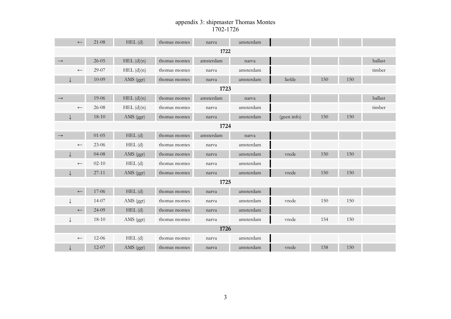### appendix 3: shipmaster Thomas Montes 1702-1726

|                   | $\leftarrow$     | $21-08$   | $HEL$ (d)      | thomas montes | narva     | amsterdam |             |     |     |         |
|-------------------|------------------|-----------|----------------|---------------|-----------|-----------|-------------|-----|-----|---------|
|                   |                  |           |                |               | 1722      |           |             |     |     |         |
| $\longrightarrow$ |                  | $26 - 05$ | HEL(d)(n)      | thomas montes | amsterdam | narva     |             |     |     | ballast |
|                   | $\leftarrow$     | 29-07     | $HEL$ $(d)(n)$ | thomas montes | narva     | amsterdam |             |     |     | timber  |
|                   |                  | $10-09$   | AMS (ggr)      | thomas montes | narva     | amsterdam | liefde      | 150 | 150 |         |
|                   |                  |           |                |               | 1723      |           |             |     |     |         |
| $\longrightarrow$ |                  | 19-06     | $HEL$ $(d)(n)$ | thomas montes | amsterdam | narva     |             |     |     | ballast |
|                   | $\longleftarrow$ | 26-08     | $HEL$ $(d)(n)$ | thomas montes | narva     | amsterdam |             |     |     | timber  |
|                   |                  | $18 - 10$ | AMS (ggr)      | thomas montes | narva     | amsterdam | (geen info) | 150 | 150 |         |
|                   |                  |           |                |               | 1724      |           |             |     |     |         |
| $\longrightarrow$ |                  | $01 - 05$ | $HEL$ $(d)$    | thomas montes | amsterdam | narva     |             |     |     |         |
|                   | $\leftarrow$     | $23 - 06$ | $HEL$ $(d)$    | thomas montes | narva     | amsterdam |             |     |     |         |
|                   |                  | $04 - 08$ | AMS (ggr)      | thomas montes | narva     | amsterdam | vrede       | 150 | 150 |         |
|                   | $\leftarrow$     | $02 - 10$ | $HEL$ (d)      | thomas montes | narva     | amsterdam |             |     |     |         |
|                   |                  | $27 - 11$ | AMS (ggr)      | thomas montes | narva     | amsterdam | vrede       | 150 | 150 |         |
|                   |                  |           |                |               | 1725      |           |             |     |     |         |
|                   | $\leftarrow$     | 17-06     | $HEL$ (d)      | thomas montes | narva     | amsterdam |             |     |     |         |
|                   |                  | 14-07     | AMS (ggr)      | thomas montes | narva     | amsterdam | vrede       | 150 | 150 |         |
|                   | $\longleftarrow$ | 24-09     | $HEL$ (d)      | thomas montes | narva     | amsterdam |             |     |     |         |
|                   |                  | $18 - 10$ | AMS (ggr)      | thomas montes | narva     | amsterdam | vrede       | 154 | 150 |         |
|                   |                  |           |                |               | 1726      |           |             |     |     |         |
|                   | $\longleftarrow$ | $12 - 06$ | $HEL$ (d)      | thomas montes | narva     | amsterdam |             |     |     |         |
|                   |                  | $12-07$   | AMS (ggr)      | thomas montes | narva     | amsterdam | vrede       | 158 | 150 |         |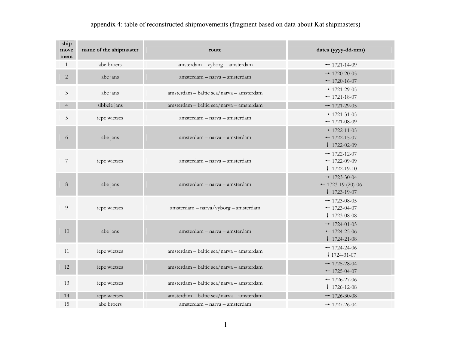# appendix 4: table of reconstructed shipmovements (fragment based on data about Kat shipmasters)

| ship<br>move<br>ment | name of the shipmaster | route                                    | dates (yyyy-dd-mm)                                                                  |
|----------------------|------------------------|------------------------------------------|-------------------------------------------------------------------------------------|
| $\mathbf{1}$         | abe broers             | amsterdam - vyborg - amsterdam           | $-1721 - 14 - 09$                                                                   |
| $\overline{2}$       | abe jans               | amsterdam - narva - amsterdam            | $\rightarrow$ 1720-20-05<br>$-1720-16-07$                                           |
| 3                    | abe jans               | amsterdam - baltic sea/narva - amsterdam | $\rightarrow$ 1721-29-05<br>$-1721 - 18 - 07$                                       |
| $\overline{4}$       | sibbele jans           | amsterdam - baltic sea/narva - amsterdam | $\rightarrow$ 1721-29-05                                                            |
| 5                    | iepe wietses           | amsterdam - narva - amsterdam            | $\rightarrow$ 1721-31-05<br>$-1721 - 08 - 09$                                       |
| 6                    | abe jans               | amsterdam - narva - amsterdam            | $\rightarrow$ 1722-11-05<br>$-1722 - 15 - 07$<br>$\downarrow$ 1722-02-09            |
| $\overline{7}$       | iepe wietses           | amsterdam - narva - amsterdam            | $\rightarrow$ 1722-12-07<br>$-1722-09-09$<br>$\downarrow$ 1722-19-10                |
| $8\,$                | abe jans               | amsterdam - narva - amsterdam            | $\rightarrow$ 1723-30-04<br>$\leftarrow$ 1723-19 (20)-06<br>$\downarrow$ 1723-19-07 |
| $\boldsymbol{9}$     | iepe wietses           | amsterdam - narva/vyborg - amsterdam     | $\rightarrow$ 1723-08-05<br>$-1723-04-07$<br>$\downarrow$ 1723-08-08                |
| 10                   | abe jans               | amsterdam - narva - amsterdam            | $\rightarrow$ 1724-01-05<br>$-1724-25-06$<br>$\downarrow$ 1724-21-08                |
| 11                   | iepe wietses           | amsterdam - baltic sea/narva - amsterdam | $-1724-24-06$<br>$\downarrow$ 1724-31-07                                            |
| 12                   | iepe wietses           | amsterdam - baltic sea/narva - amsterdam | $\rightarrow$ 1725-28-04<br>$-1725 - 04 - 07$                                       |
| 13                   | iepe wietses           | amsterdam - baltic sea/narva - amsterdam | $-1726 - 27 - 06$<br>$\downarrow$ 1726-12-08                                        |
| 14                   | iepe wietses           | amsterdam - baltic sea/narva - amsterdam | $\rightarrow$ 1726-30-08                                                            |
| 15                   | abe broers             | amsterdam - narva - amsterdam            | $\rightarrow$ 1727-26-04                                                            |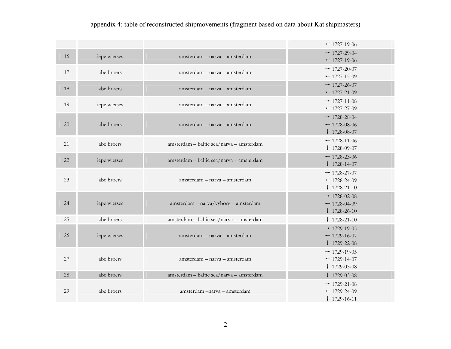# appendix 4: table of reconstructed shipmovements (fragment based on data about Kat shipmasters)

|    |              |                                          | $-1727-19-06$                                                        |
|----|--------------|------------------------------------------|----------------------------------------------------------------------|
| 16 | iepe wietses | amsterdam - narva - amsterdam            | $\rightarrow$ 1727-29-04<br>$-1727-19-06$                            |
| 17 | abe broers   | amsterdam - narva - amsterdam            | $\rightarrow$ 1727-20-07<br>$-1727-15-09$                            |
| 18 | abe broers   | amsterdam - narva - amsterdam            | $\rightarrow$ 1727-26-07<br>$-1727-21-09$                            |
| 19 | iepe wietses | amsterdam - narva - amsterdam            | $\rightarrow$ 1727-11-08<br>$-1727-27-09$                            |
| 20 | abe broers   | amsterdam - narva - amsterdam            | $\rightarrow$ 1728-28-04<br>$-1728-08-06$<br>$\downarrow$ 1728-08-07 |
| 21 | abe broers   | amsterdam - baltic sea/narva - amsterdam | $-1728-11-06$<br>$\downarrow$ 1728-09-07                             |
| 22 | iepe wietses | amsterdam - baltic sea/narva - amsterdam | $-1728-23-06$<br>$\downarrow$ 1728-14-07                             |
| 23 | abe broers   | amsterdam - narva - amsterdam            | $\rightarrow$ 1728-27-07<br>$-1728-24-09$<br>$\downarrow$ 1728-21-10 |
| 24 | iepe wietses | amsterdam - narva/vyborg - amsterdam     | $\rightarrow$ 1728-02-08<br>$-1728-04-09$<br>$\downarrow$ 1728-26-10 |
| 25 | abe broers   | amsterdam - baltic sea/narva - amsterdam | $\downarrow$ 1728-21-10                                              |
| 26 | iepe wietses | amsterdam - narva - amsterdam            | $\rightarrow$ 1729-19-05<br>$-1729-16-07$<br>$\downarrow$ 1729-22-08 |
| 27 | abe broers   | amsterdam - narva - amsterdam            | $\rightarrow$ 1729-19-05<br>$-1729-14-07$<br>$\downarrow$ 1729-03-08 |
| 28 | abe broers   | amsterdam - baltic sea/narva - amsterdam | $\downarrow$ 1729-03-08                                              |
| 29 | abe broers   | amsterdam – narva – amsterdam            | $\rightarrow$ 1729-21-08<br>$-1729-24-09$<br>$\downarrow$ 1729-16-11 |